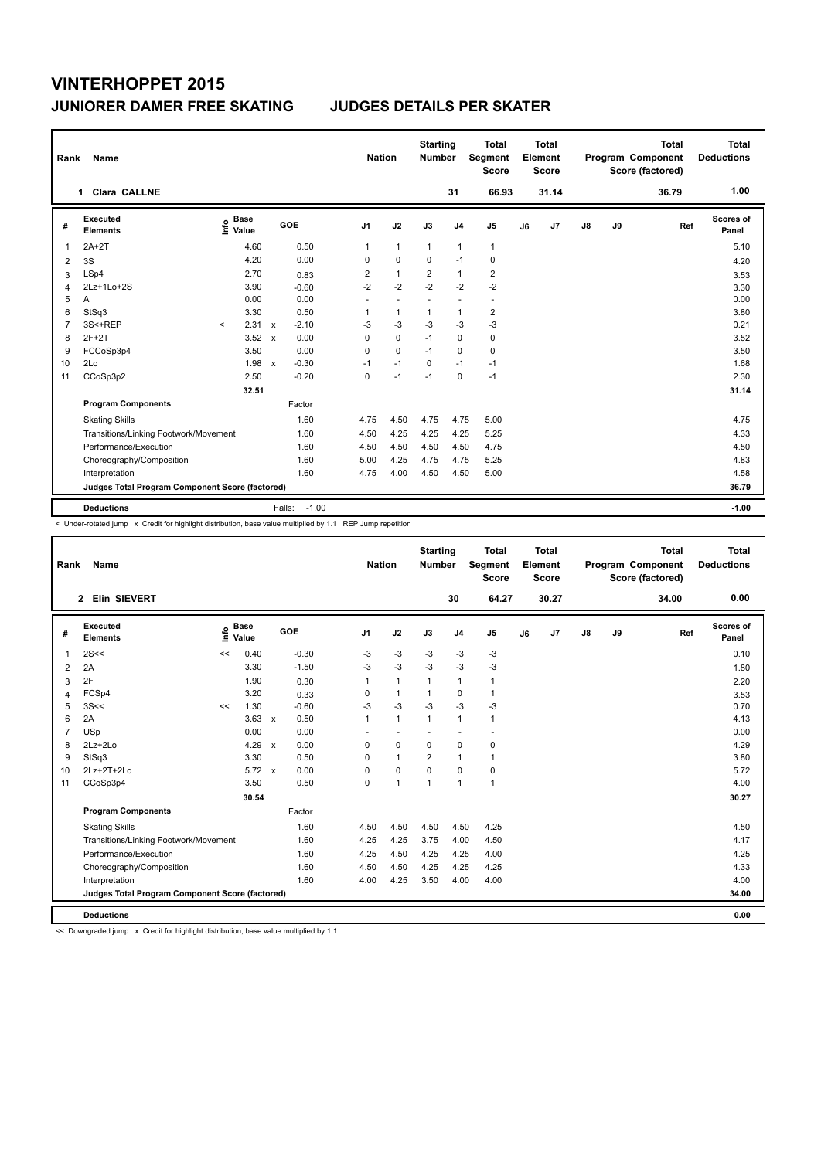| Rank           | Name                                            |         |                      |              |                   |                | <b>Nation</b>  | <b>Starting</b><br><b>Number</b> |                | Total<br>Segment<br><b>Score</b> |    | <b>Total</b><br>Element<br><b>Score</b> |               |    | <b>Total</b><br>Program Component<br>Score (factored) | <b>Total</b><br><b>Deductions</b> |
|----------------|-------------------------------------------------|---------|----------------------|--------------|-------------------|----------------|----------------|----------------------------------|----------------|----------------------------------|----|-----------------------------------------|---------------|----|-------------------------------------------------------|-----------------------------------|
|                | 1 Clara CALLNE                                  |         |                      |              |                   |                |                |                                  | 31             | 66.93                            |    | 31.14                                   |               |    | 36.79                                                 | 1.00                              |
| #              | Executed<br><b>Elements</b>                     | ١nfo    | <b>Base</b><br>Value |              | GOE               | J <sub>1</sub> | J2             | J3                               | J <sub>4</sub> | J <sub>5</sub>                   | J6 | J7                                      | $\mathsf{J}8$ | J9 | Ref                                                   | Scores of<br>Panel                |
| 1              | $2A+2T$                                         |         | 4.60                 |              | 0.50              | 1              | $\mathbf{1}$   | $\mathbf{1}$                     | $\mathbf{1}$   | $\mathbf{1}$                     |    |                                         |               |    |                                                       | 5.10                              |
| 2              | 3S                                              |         | 4.20                 |              | 0.00              | 0              | $\Omega$       | $\Omega$                         | $-1$           | 0                                |    |                                         |               |    |                                                       | 4.20                              |
| 3              | LSp4                                            |         | 2.70                 |              | 0.83              | 2              | $\mathbf{1}$   | $\overline{2}$                   | $\mathbf{1}$   | $\overline{\mathbf{c}}$          |    |                                         |               |    |                                                       | 3.53                              |
| 4              | 2Lz+1Lo+2S                                      |         | 3.90                 |              | $-0.60$           | $-2$           | $-2$           | $-2$                             | $-2$           | $-2$                             |    |                                         |               |    |                                                       | 3.30                              |
| 5              | A                                               |         | 0.00                 |              | 0.00              | $\sim$         | $\overline{a}$ | $\overline{a}$                   | ٠              | $\overline{\phantom{a}}$         |    |                                         |               |    |                                                       | 0.00                              |
| 6              | StSq3                                           |         | 3.30                 |              | 0.50              | 1              | $\mathbf{1}$   | $\mathbf{1}$                     | $\mathbf{1}$   | $\overline{\mathbf{c}}$          |    |                                         |               |    |                                                       | 3.80                              |
| $\overline{7}$ | 3S<+REP                                         | $\prec$ | 2.31                 | $\mathbf{x}$ | $-2.10$           | -3             | $-3$           | $-3$                             | -3             | $-3$                             |    |                                         |               |    |                                                       | 0.21                              |
| 8              | $2F+2T$                                         |         | 3.52                 | $\mathbf{x}$ | 0.00              | 0              | $\mathbf 0$    | $-1$                             | $\mathbf 0$    | 0                                |    |                                         |               |    |                                                       | 3.52                              |
| 9              | FCCoSp3p4                                       |         | 3.50                 |              | 0.00              | 0              | $\mathbf 0$    | $-1$                             | 0              | 0                                |    |                                         |               |    |                                                       | 3.50                              |
| 10             | 2Lo                                             |         | 1.98                 | $\mathbf{x}$ | $-0.30$           | $-1$           | $-1$           | $\Omega$                         | $-1$           | $-1$                             |    |                                         |               |    |                                                       | 1.68                              |
| 11             | CCoSp3p2                                        |         | 2.50                 |              | $-0.20$           | 0              | $-1$           | $-1$                             | $\mathbf 0$    | $-1$                             |    |                                         |               |    |                                                       | 2.30                              |
|                |                                                 |         | 32.51                |              |                   |                |                |                                  |                |                                  |    |                                         |               |    |                                                       | 31.14                             |
|                | <b>Program Components</b>                       |         |                      |              | Factor            |                |                |                                  |                |                                  |    |                                         |               |    |                                                       |                                   |
|                | <b>Skating Skills</b>                           |         |                      |              | 1.60              | 4.75           | 4.50           | 4.75                             | 4.75           | 5.00                             |    |                                         |               |    |                                                       | 4.75                              |
|                | Transitions/Linking Footwork/Movement           |         |                      |              | 1.60              | 4.50           | 4.25           | 4.25                             | 4.25           | 5.25                             |    |                                         |               |    |                                                       | 4.33                              |
|                | Performance/Execution                           |         |                      |              | 1.60              | 4.50           | 4.50           | 4.50                             | 4.50           | 4.75                             |    |                                         |               |    |                                                       | 4.50                              |
|                | Choreography/Composition                        |         |                      |              | 1.60              | 5.00           | 4.25           | 4.75                             | 4.75           | 5.25                             |    |                                         |               |    |                                                       | 4.83                              |
|                | Interpretation                                  |         |                      |              | 1.60              | 4.75           | 4.00           | 4.50                             | 4.50           | 5.00                             |    |                                         |               |    |                                                       | 4.58                              |
|                | Judges Total Program Component Score (factored) |         |                      |              |                   |                |                |                                  |                |                                  |    |                                         |               |    |                                                       | 36.79                             |
|                | <b>Deductions</b>                               |         |                      |              | $-1.00$<br>Falls: |                |                |                                  |                |                                  |    |                                         |               |    |                                                       | $-1.00$                           |

< Under-rotated jump x Credit for highlight distribution, base value multiplied by 1.1 REP Jump repetition

| Rank           | Name                                            |      |                      |              |            | <b>Nation</b>  |              | <b>Starting</b><br><b>Number</b> |                | <b>Total</b><br>Segment<br><b>Score</b> |    | <b>Total</b><br>Element<br><b>Score</b> |               |    | <b>Total</b><br>Program Component<br>Score (factored) | <b>Total</b><br><b>Deductions</b> |
|----------------|-------------------------------------------------|------|----------------------|--------------|------------|----------------|--------------|----------------------------------|----------------|-----------------------------------------|----|-----------------------------------------|---------------|----|-------------------------------------------------------|-----------------------------------|
|                | <b>Elin SIEVERT</b><br>$\mathbf{2}$             |      |                      |              |            |                |              |                                  | 30             | 64.27                                   |    | 30.27                                   |               |    | 34.00                                                 | 0.00                              |
| #              | Executed<br><b>Elements</b>                     | Info | <b>Base</b><br>Value |              | <b>GOE</b> | J <sub>1</sub> | J2           | J3                               | J <sub>4</sub> | J <sub>5</sub>                          | J6 | J7                                      | $\mathsf{J}8$ | J9 | Ref                                                   | <b>Scores of</b><br>Panel         |
| $\mathbf 1$    | 2S<<                                            | <<   | 0.40                 |              | $-0.30$    | -3             | $-3$         | $-3$                             | $-3$           | $-3$                                    |    |                                         |               |    |                                                       | 0.10                              |
| 2              | 2A                                              |      | 3.30                 |              | $-1.50$    | $-3$           | $-3$         | $-3$                             | $-3$           | $-3$                                    |    |                                         |               |    |                                                       | 1.80                              |
| 3              | 2F                                              |      | 1.90                 |              | 0.30       | $\mathbf{1}$   | $\mathbf{1}$ | $\mathbf{1}$                     | $\mathbf{1}$   | 1                                       |    |                                         |               |    |                                                       | 2.20                              |
| 4              | FCSp4                                           |      | 3.20                 |              | 0.33       | 0              | $\mathbf{1}$ | 1                                | 0              | $\mathbf{1}$                            |    |                                         |               |    |                                                       | 3.53                              |
| 5              | 3S<<                                            | <<   | 1.30                 |              | $-0.60$    | $-3$           | $-3$         | $-3$                             | $-3$           | $-3$                                    |    |                                         |               |    |                                                       | 0.70                              |
| 6              | 2A                                              |      | 3.63                 | $\mathbf{x}$ | 0.50       | 1              | $\mathbf{1}$ | $\mathbf{1}$                     | $\mathbf{1}$   | 1                                       |    |                                         |               |    |                                                       | 4.13                              |
| $\overline{7}$ | USp                                             |      | 0.00                 |              | 0.00       |                |              |                                  |                |                                         |    |                                         |               |    |                                                       | 0.00                              |
| 8              | $2Lz+2Lo$                                       |      | 4.29                 | $\mathsf{x}$ | 0.00       | 0              | 0            | $\Omega$                         | 0              | 0                                       |    |                                         |               |    |                                                       | 4.29                              |
| 9              | StSq3                                           |      | 3.30                 |              | 0.50       | $\Omega$       | $\mathbf{1}$ | $\overline{2}$                   | 1              | 1                                       |    |                                         |               |    |                                                       | 3.80                              |
| 10             | 2Lz+2T+2Lo                                      |      | $5.72 \times$        |              | 0.00       | $\Omega$       | $\mathbf 0$  | $\Omega$                         | $\Omega$       | 0                                       |    |                                         |               |    |                                                       | 5.72                              |
| 11             | CCoSp3p4                                        |      | 3.50                 |              | 0.50       | 0              | $\mathbf{1}$ | $\overline{1}$                   | $\mathbf{1}$   | $\mathbf{1}$                            |    |                                         |               |    |                                                       | 4.00                              |
|                |                                                 |      | 30.54                |              |            |                |              |                                  |                |                                         |    |                                         |               |    |                                                       | 30.27                             |
|                | <b>Program Components</b>                       |      |                      |              | Factor     |                |              |                                  |                |                                         |    |                                         |               |    |                                                       |                                   |
|                | <b>Skating Skills</b>                           |      |                      |              | 1.60       | 4.50           | 4.50         | 4.50                             | 4.50           | 4.25                                    |    |                                         |               |    |                                                       | 4.50                              |
|                | Transitions/Linking Footwork/Movement           |      |                      |              | 1.60       | 4.25           | 4.25         | 3.75                             | 4.00           | 4.50                                    |    |                                         |               |    |                                                       | 4.17                              |
|                | Performance/Execution                           |      |                      |              | 1.60       | 4.25           | 4.50         | 4.25                             | 4.25           | 4.00                                    |    |                                         |               |    |                                                       | 4.25                              |
|                | Choreography/Composition                        |      |                      |              | 1.60       | 4.50           | 4.50         | 4.25                             | 4.25           | 4.25                                    |    |                                         |               |    |                                                       | 4.33                              |
|                | Interpretation                                  |      |                      |              | 1.60       | 4.00           | 4.25         | 3.50                             | 4.00           | 4.00                                    |    |                                         |               |    |                                                       | 4.00                              |
|                | Judges Total Program Component Score (factored) |      |                      |              |            |                |              |                                  |                |                                         |    |                                         |               |    |                                                       | 34.00                             |
|                | <b>Deductions</b>                               |      |                      |              |            |                |              |                                  |                |                                         |    |                                         |               |    |                                                       | 0.00                              |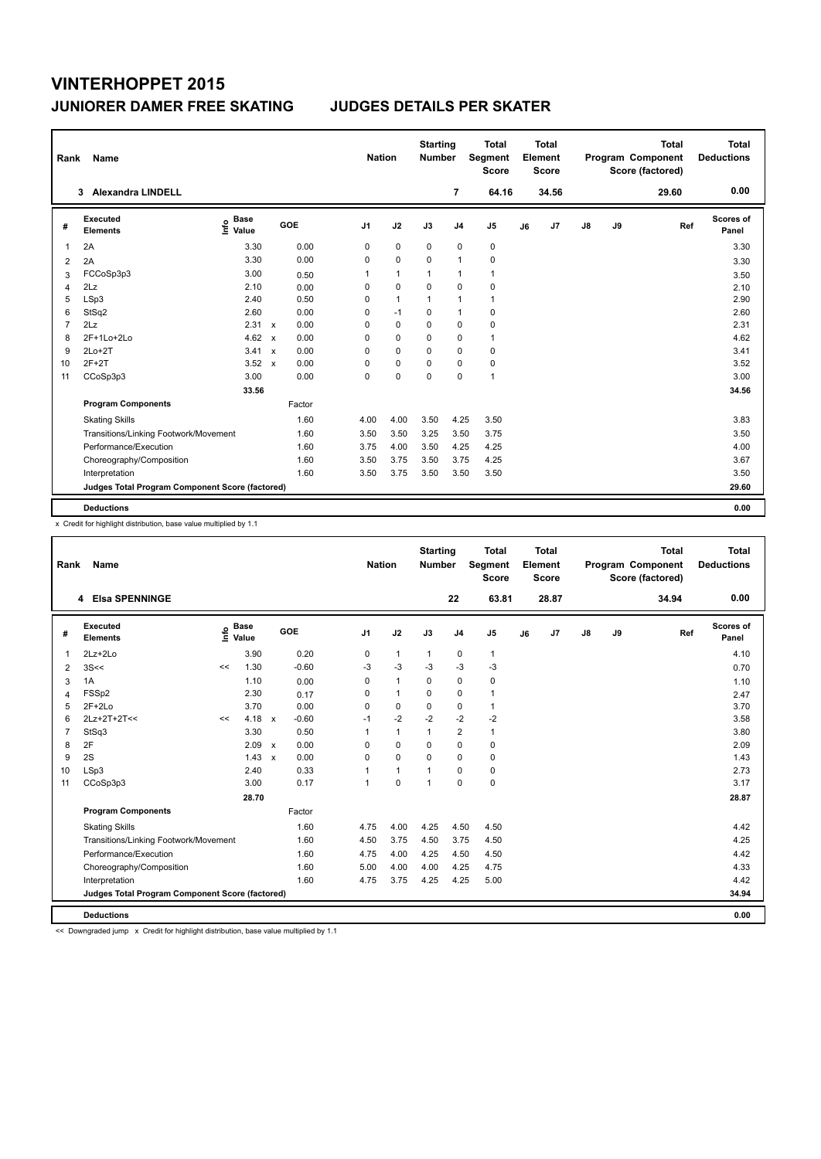| Rank           | Name                                            |                              |              |        |                | <b>Nation</b> | <b>Starting</b><br><b>Number</b> |                | Total<br>Segment<br><b>Score</b> |    | <b>Total</b><br>Element<br><b>Score</b> |               |    | <b>Total</b><br>Program Component<br>Score (factored) | <b>Total</b><br><b>Deductions</b> |
|----------------|-------------------------------------------------|------------------------------|--------------|--------|----------------|---------------|----------------------------------|----------------|----------------------------------|----|-----------------------------------------|---------------|----|-------------------------------------------------------|-----------------------------------|
|                | 3 Alexandra LINDELL                             |                              |              |        |                |               |                                  | $\overline{7}$ | 64.16                            |    | 34.56                                   |               |    | 29.60                                                 | 0.00                              |
| #              | Executed<br><b>Elements</b>                     | <b>Base</b><br>١nfo<br>Value |              | GOE    | J <sub>1</sub> | J2            | J3                               | J <sub>4</sub> | J <sub>5</sub>                   | J6 | J7                                      | $\mathsf{J}8$ | J9 | Ref                                                   | Scores of<br>Panel                |
| 1              | 2A                                              | 3.30                         |              | 0.00   | 0              | $\mathbf 0$   | $\mathbf 0$                      | $\mathbf 0$    | 0                                |    |                                         |               |    |                                                       | 3.30                              |
| 2              | 2A                                              | 3.30                         |              | 0.00   | 0              | $\mathbf 0$   | $\Omega$                         | $\mathbf{1}$   | $\mathbf 0$                      |    |                                         |               |    |                                                       | 3.30                              |
| 3              | FCCoSp3p3                                       | 3.00                         |              | 0.50   | 1              | $\mathbf{1}$  | $\mathbf{1}$                     | $\mathbf{1}$   | $\mathbf{1}$                     |    |                                         |               |    |                                                       | 3.50                              |
| 4              | 2Lz                                             | 2.10                         |              | 0.00   | 0              | $\mathbf 0$   | $\Omega$                         | $\mathbf 0$    | 0                                |    |                                         |               |    |                                                       | 2.10                              |
| 5              | LSp3                                            | 2.40                         |              | 0.50   | 0              | $\mathbf{1}$  | $\mathbf{1}$                     | $\mathbf{1}$   | $\mathbf{1}$                     |    |                                         |               |    |                                                       | 2.90                              |
| 6              | StSq2                                           | 2.60                         |              | 0.00   | 0              | $-1$          | $\mathbf 0$                      | $\mathbf{1}$   | 0                                |    |                                         |               |    |                                                       | 2.60                              |
| $\overline{7}$ | 2Lz                                             | $2.31 \times$                |              | 0.00   | 0              | 0             | $\Omega$                         | 0              | 0                                |    |                                         |               |    |                                                       | 2.31                              |
| 8              | 2F+1Lo+2Lo                                      | 4.62                         | $\mathbf{x}$ | 0.00   | 0              | $\Omega$      | $\Omega$                         | $\mathbf 0$    | $\mathbf{1}$                     |    |                                         |               |    |                                                       | 4.62                              |
| 9              | $2Lo+2T$                                        | $3.41 \times$                |              | 0.00   | 0              | 0             | $\Omega$                         | 0              | 0                                |    |                                         |               |    |                                                       | 3.41                              |
| 10             | $2F+2T$                                         | 3.52                         | $\mathbf{x}$ | 0.00   | 0              | $\mathbf 0$   | $\Omega$                         | 0              | 0                                |    |                                         |               |    |                                                       | 3.52                              |
| 11             | CCoSp3p3                                        | 3.00                         |              | 0.00   | $\Omega$       | $\mathbf 0$   | $\Omega$                         | $\mathbf 0$    | $\mathbf{1}$                     |    |                                         |               |    |                                                       | 3.00                              |
|                |                                                 | 33.56                        |              |        |                |               |                                  |                |                                  |    |                                         |               |    |                                                       | 34.56                             |
|                | <b>Program Components</b>                       |                              |              | Factor |                |               |                                  |                |                                  |    |                                         |               |    |                                                       |                                   |
|                | <b>Skating Skills</b>                           |                              |              | 1.60   | 4.00           | 4.00          | 3.50                             | 4.25           | 3.50                             |    |                                         |               |    |                                                       | 3.83                              |
|                | Transitions/Linking Footwork/Movement           |                              |              | 1.60   | 3.50           | 3.50          | 3.25                             | 3.50           | 3.75                             |    |                                         |               |    |                                                       | 3.50                              |
|                | Performance/Execution                           |                              |              | 1.60   | 3.75           | 4.00          | 3.50                             | 4.25           | 4.25                             |    |                                         |               |    |                                                       | 4.00                              |
|                | Choreography/Composition                        |                              |              | 1.60   | 3.50           | 3.75          | 3.50                             | 3.75           | 4.25                             |    |                                         |               |    |                                                       | 3.67                              |
|                | Interpretation                                  |                              |              | 1.60   | 3.50           | 3.75          | 3.50                             | 3.50           | 3.50                             |    |                                         |               |    |                                                       | 3.50                              |
|                | Judges Total Program Component Score (factored) |                              |              |        |                |               |                                  |                |                                  |    |                                         |               |    |                                                       | 29.60                             |
|                | <b>Deductions</b>                               |                              |              |        |                |               |                                  |                |                                  |    |                                         |               |    |                                                       | 0.00                              |

x Credit for highlight distribution, base value multiplied by 1.1

| Rank           | Name                                            |    |                                  |              |         |                      | <b>Nation</b> | <b>Starting</b><br><b>Number</b> |                | Total<br>Segment<br><b>Score</b> |    | Total<br>Element<br><b>Score</b> |               |    | <b>Total</b><br>Program Component<br>Score (factored) |     | Total<br><b>Deductions</b> |
|----------------|-------------------------------------------------|----|----------------------------------|--------------|---------|----------------------|---------------|----------------------------------|----------------|----------------------------------|----|----------------------------------|---------------|----|-------------------------------------------------------|-----|----------------------------|
|                | 4 Elsa SPENNINGE                                |    |                                  |              |         |                      |               |                                  | 22             | 63.81                            |    | 28.87                            |               |    | 34.94                                                 |     | 0.00                       |
| #              | Executed<br><b>Elements</b>                     |    | <b>Base</b><br>e Base<br>⊆ Value |              | GOE     | J <sub>1</sub>       | J2            | J3                               | J <sub>4</sub> | J5                               | J6 | J7                               | $\mathsf{J}8$ | J9 |                                                       | Ref | <b>Scores of</b><br>Panel  |
| 1              | $2Lz+2Lo$                                       |    | 3.90                             |              | 0.20    | 0                    | $\mathbf{1}$  | 1                                | 0              | $\mathbf{1}$                     |    |                                  |               |    |                                                       |     | 4.10                       |
| 2              | 3S<<                                            | << | 1.30                             |              | $-0.60$ | $-3$                 | $-3$          | $-3$                             | $-3$           | $-3$                             |    |                                  |               |    |                                                       |     | 0.70                       |
| 3              | 1A                                              |    | 1.10                             |              | 0.00    | $\Omega$             | $\mathbf{1}$  | $\Omega$                         | 0              | 0                                |    |                                  |               |    |                                                       |     | 1.10                       |
| 4              | FSSp2                                           |    | 2.30                             |              | 0.17    | 0                    | $\mathbf{1}$  | 0                                | 0              | 1                                |    |                                  |               |    |                                                       |     | 2.47                       |
| 5              | $2F+2Lo$                                        |    | 3.70                             |              | 0.00    | $\Omega$             | $\mathbf 0$   | $\Omega$                         | 0              | 1                                |    |                                  |               |    |                                                       |     | 3.70                       |
| 6              | 2Lz+2T+2T<<                                     | << | 4.18                             | $\mathsf{x}$ | $-0.60$ | $-1$                 | $-2$          | $-2$                             | $-2$           | $-2$                             |    |                                  |               |    |                                                       |     | 3.58                       |
| $\overline{7}$ | StSq3                                           |    | 3.30                             |              | 0.50    |                      | $\mathbf{1}$  | $\mathbf 1$                      | $\overline{2}$ | $\mathbf{1}$                     |    |                                  |               |    |                                                       |     | 3.80                       |
| 8              | 2F                                              |    | 2.09                             | $\mathsf{x}$ | 0.00    | 0                    | 0             | 0                                | 0              | 0                                |    |                                  |               |    |                                                       |     | 2.09                       |
| 9              | 2S                                              |    | $1.43 \times$                    |              | 0.00    | $\Omega$             | $\Omega$      | $\Omega$                         | $\Omega$       | 0                                |    |                                  |               |    |                                                       |     | 1.43                       |
| 10             | LSp3                                            |    | 2.40                             |              | 0.33    |                      | $\mathbf{1}$  |                                  | 0              | 0                                |    |                                  |               |    |                                                       |     | 2.73                       |
| 11             | CCoSp3p3                                        |    | 3.00                             |              | 0.17    | $\blacktriangleleft$ | $\mathbf 0$   | $\overline{1}$                   | $\Omega$       | 0                                |    |                                  |               |    |                                                       |     | 3.17                       |
|                |                                                 |    | 28.70                            |              |         |                      |               |                                  |                |                                  |    |                                  |               |    |                                                       |     | 28.87                      |
|                | <b>Program Components</b>                       |    |                                  |              | Factor  |                      |               |                                  |                |                                  |    |                                  |               |    |                                                       |     |                            |
|                | <b>Skating Skills</b>                           |    |                                  |              | 1.60    | 4.75                 | 4.00          | 4.25                             | 4.50           | 4.50                             |    |                                  |               |    |                                                       |     | 4.42                       |
|                | Transitions/Linking Footwork/Movement           |    |                                  |              | 1.60    | 4.50                 | 3.75          | 4.50                             | 3.75           | 4.50                             |    |                                  |               |    |                                                       |     | 4.25                       |
|                | Performance/Execution                           |    |                                  |              | 1.60    | 4.75                 | 4.00          | 4.25                             | 4.50           | 4.50                             |    |                                  |               |    |                                                       |     | 4.42                       |
|                | Choreography/Composition                        |    |                                  |              | 1.60    | 5.00                 | 4.00          | 4.00                             | 4.25           | 4.75                             |    |                                  |               |    |                                                       |     | 4.33                       |
|                | Interpretation                                  |    |                                  |              | 1.60    | 4.75                 | 3.75          | 4.25                             | 4.25           | 5.00                             |    |                                  |               |    |                                                       |     | 4.42                       |
|                | Judges Total Program Component Score (factored) |    |                                  |              |         |                      |               |                                  |                |                                  |    |                                  |               |    |                                                       |     | 34.94                      |
|                | <b>Deductions</b>                               |    |                                  |              |         |                      |               |                                  |                |                                  |    |                                  |               |    |                                                       |     | 0.00                       |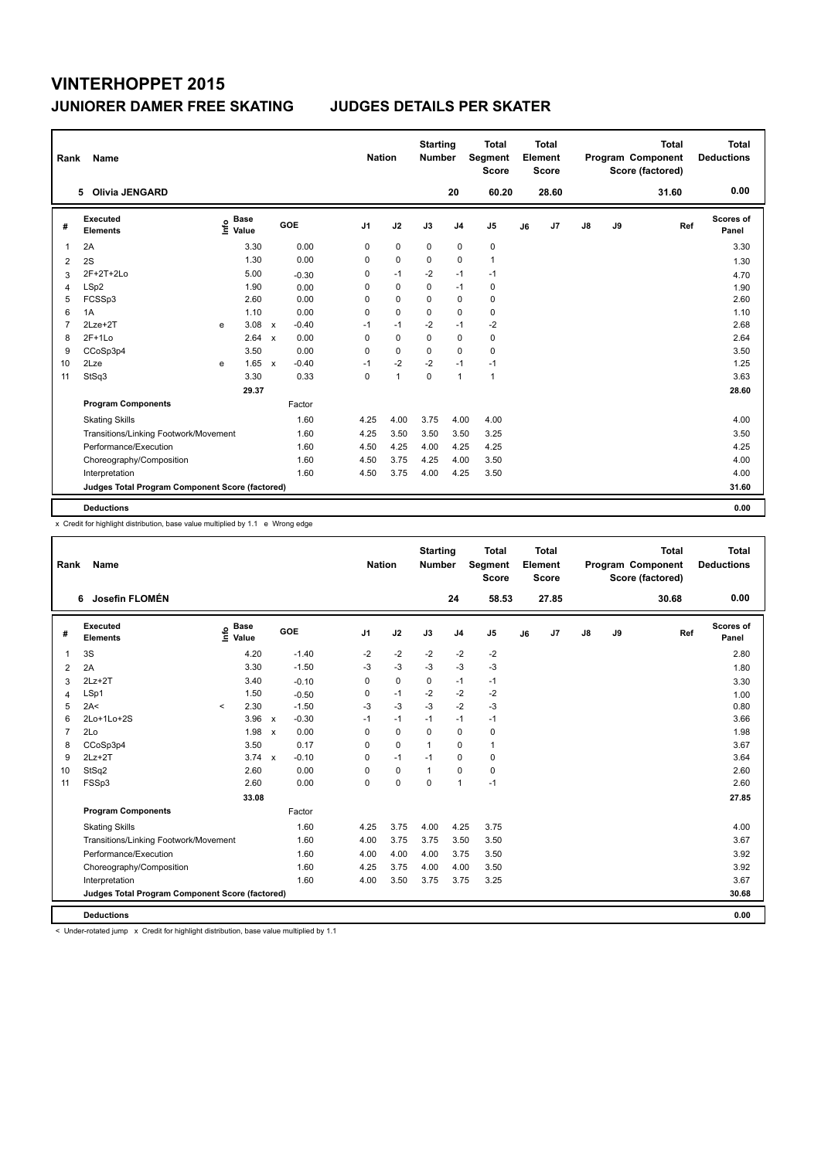| Rank | Name                                            |    |                      |              |         | <b>Nation</b>  |                | <b>Starting</b><br><b>Number</b> |                | <b>Total</b><br>Segment<br><b>Score</b> |    | <b>Total</b><br>Element<br><b>Score</b> |               |    | <b>Total</b><br>Program Component<br>Score (factored) |     | <b>Total</b><br><b>Deductions</b> |
|------|-------------------------------------------------|----|----------------------|--------------|---------|----------------|----------------|----------------------------------|----------------|-----------------------------------------|----|-----------------------------------------|---------------|----|-------------------------------------------------------|-----|-----------------------------------|
|      | <b>Olivia JENGARD</b><br>5.                     |    |                      |              |         |                |                |                                  | 20             | 60.20                                   |    | 28.60                                   |               |    | 31.60                                                 |     | 0.00                              |
| #    | Executed<br><b>Elements</b>                     | ۴۵ | <b>Base</b><br>Value |              | GOE     | J <sub>1</sub> | J2             | J3                               | J <sub>4</sub> | J <sub>5</sub>                          | J6 | J <sub>7</sub>                          | $\mathsf{J}8$ | J9 |                                                       | Ref | Scores of<br>Panel                |
| 1    | 2A                                              |    | 3.30                 |              | 0.00    | 0              | $\mathbf 0$    | $\mathbf 0$                      | $\mathbf 0$    | $\pmb{0}$                               |    |                                         |               |    |                                                       |     | 3.30                              |
| 2    | 2S                                              |    | 1.30                 |              | 0.00    | 0              | $\mathbf 0$    | $\Omega$                         | $\mathbf 0$    | $\mathbf{1}$                            |    |                                         |               |    |                                                       |     | 1.30                              |
| 3    | 2F+2T+2Lo                                       |    | 5.00                 |              | $-0.30$ | 0              | $-1$           | $-2$                             | $-1$           | $-1$                                    |    |                                         |               |    |                                                       |     | 4.70                              |
| 4    | LSp2                                            |    | 1.90                 |              | 0.00    | 0              | $\mathbf 0$    | 0                                | $-1$           | 0                                       |    |                                         |               |    |                                                       |     | 1.90                              |
| 5    | FCSSp3                                          |    | 2.60                 |              | 0.00    | 0              | 0              | 0                                | 0              | 0                                       |    |                                         |               |    |                                                       |     | 2.60                              |
| 6    | 1A                                              |    | 1.10                 |              | 0.00    | 0              | $\mathbf 0$    | $\Omega$                         | $\mathbf 0$    | $\mathbf 0$                             |    |                                         |               |    |                                                       |     | 1.10                              |
| 7    | $2Lze+2T$                                       | e  | 3.08                 | $\mathsf{x}$ | $-0.40$ | $-1$           | $-1$           | $-2$                             | $-1$           | $-2$                                    |    |                                         |               |    |                                                       |     | 2.68                              |
| 8    | $2F+1Lo$                                        |    | 2.64                 | $\mathsf{x}$ | 0.00    | 0              | $\mathbf 0$    | 0                                | $\mathbf 0$    | 0                                       |    |                                         |               |    |                                                       |     | 2.64                              |
| 9    | CCoSp3p4                                        |    | 3.50                 |              | 0.00    | 0              | 0              | 0                                | 0              | 0                                       |    |                                         |               |    |                                                       |     | 3.50                              |
| 10   | 2Lze                                            | e  | 1.65                 | $\mathbf{x}$ | $-0.40$ | $-1$           | $-2$           | $-2$                             | $-1$           | $-1$                                    |    |                                         |               |    |                                                       |     | 1.25                              |
| 11   | StSq3                                           |    | 3.30                 |              | 0.33    | 0              | $\overline{1}$ | 0                                | $\overline{1}$ | $\mathbf{1}$                            |    |                                         |               |    |                                                       |     | 3.63                              |
|      |                                                 |    | 29.37                |              |         |                |                |                                  |                |                                         |    |                                         |               |    |                                                       |     | 28.60                             |
|      | <b>Program Components</b>                       |    |                      |              | Factor  |                |                |                                  |                |                                         |    |                                         |               |    |                                                       |     |                                   |
|      | <b>Skating Skills</b>                           |    |                      |              | 1.60    | 4.25           | 4.00           | 3.75                             | 4.00           | 4.00                                    |    |                                         |               |    |                                                       |     | 4.00                              |
|      | Transitions/Linking Footwork/Movement           |    |                      |              | 1.60    | 4.25           | 3.50           | 3.50                             | 3.50           | 3.25                                    |    |                                         |               |    |                                                       |     | 3.50                              |
|      | Performance/Execution                           |    |                      |              | 1.60    | 4.50           | 4.25           | 4.00                             | 4.25           | 4.25                                    |    |                                         |               |    |                                                       |     | 4.25                              |
|      | Choreography/Composition                        |    |                      |              | 1.60    | 4.50           | 3.75           | 4.25                             | 4.00           | 3.50                                    |    |                                         |               |    |                                                       |     | 4.00                              |
|      | Interpretation                                  |    |                      |              | 1.60    | 4.50           | 3.75           | 4.00                             | 4.25           | 3.50                                    |    |                                         |               |    |                                                       |     | 4.00                              |
|      | Judges Total Program Component Score (factored) |    |                      |              |         |                |                |                                  |                |                                         |    |                                         |               |    |                                                       |     | 31.60                             |
|      | <b>Deductions</b>                               |    |                      |              |         |                |                |                                  |                |                                         |    |                                         |               |    |                                                       |     | 0.00                              |

x Credit for highlight distribution, base value multiplied by 1.1 e Wrong edge

| Rank           | Name                                            |         |                      |                           |            |                | <b>Nation</b> | <b>Starting</b><br><b>Number</b> |                | <b>Total</b><br>Segment<br><b>Score</b> |    | <b>Total</b><br>Element<br><b>Score</b> |               |    | <b>Total</b><br>Program Component<br>Score (factored) | <b>Total</b><br><b>Deductions</b> |
|----------------|-------------------------------------------------|---------|----------------------|---------------------------|------------|----------------|---------------|----------------------------------|----------------|-----------------------------------------|----|-----------------------------------------|---------------|----|-------------------------------------------------------|-----------------------------------|
|                | Josefin FLOMÉN<br>6                             |         |                      |                           |            |                |               |                                  | 24             | 58.53                                   |    | 27.85                                   |               |    | 30.68                                                 | 0.00                              |
| #              | Executed<br><b>Elements</b>                     | ١nfo    | <b>Base</b><br>Value |                           | <b>GOE</b> | J <sub>1</sub> | J2            | J3                               | J <sub>4</sub> | J5                                      | J6 | J7                                      | $\mathsf{J}8$ | J9 | Ref                                                   | Scores of<br>Panel                |
| 1              | 3S                                              |         | 4.20                 |                           | $-1.40$    | $-2$           | $-2$          | $-2$                             | $-2$           | $-2$                                    |    |                                         |               |    |                                                       | 2.80                              |
| 2              | 2A                                              |         | 3.30                 |                           | $-1.50$    | $-3$           | $-3$          | $-3$                             | $-3$           | $-3$                                    |    |                                         |               |    |                                                       | 1.80                              |
| 3              | $2Lz+2T$                                        |         | 3.40                 |                           | $-0.10$    | 0              | 0             | 0                                | $-1$           | $-1$                                    |    |                                         |               |    |                                                       | 3.30                              |
| $\overline{4}$ | LSp1                                            |         | 1.50                 |                           | $-0.50$    | 0              | $-1$          | $-2$                             | $-2$           | $-2$                                    |    |                                         |               |    |                                                       | 1.00                              |
| 5              | 2A<                                             | $\prec$ | 2.30                 |                           | $-1.50$    | $-3$           | $-3$          | $-3$                             | $-2$           | $-3$                                    |    |                                         |               |    |                                                       | 0.80                              |
| 6              | 2Lo+1Lo+2S                                      |         | 3.96                 | $\boldsymbol{\mathsf{x}}$ | $-0.30$    | $-1$           | $-1$          | $-1$                             | $-1$           | $-1$                                    |    |                                         |               |    |                                                       | 3.66                              |
| $\overline{7}$ | 2Lo                                             |         | 1.98                 | $\boldsymbol{\mathsf{x}}$ | 0.00       | 0              | $\mathbf 0$   | $\Omega$                         | 0              | 0                                       |    |                                         |               |    |                                                       | 1.98                              |
| 8              | CCoSp3p4                                        |         | 3.50                 |                           | 0.17       | 0              | $\mathbf 0$   | 1                                | 0              | $\mathbf{1}$                            |    |                                         |               |    |                                                       | 3.67                              |
| 9              | $2Lz+2T$                                        |         | $3.74 \times$        |                           | $-0.10$    | $\Omega$       | $-1$          | $-1$                             | 0              | 0                                       |    |                                         |               |    |                                                       | 3.64                              |
| 10             | StSq2                                           |         | 2.60                 |                           | 0.00       | $\Omega$       | 0             | 1                                | 0              | 0                                       |    |                                         |               |    |                                                       | 2.60                              |
| 11             | FSSp3                                           |         | 2.60                 |                           | 0.00       | $\Omega$       | $\mathbf 0$   | $\Omega$                         | $\mathbf{1}$   | $-1$                                    |    |                                         |               |    |                                                       | 2.60                              |
|                |                                                 |         | 33.08                |                           |            |                |               |                                  |                |                                         |    |                                         |               |    |                                                       | 27.85                             |
|                | <b>Program Components</b>                       |         |                      |                           | Factor     |                |               |                                  |                |                                         |    |                                         |               |    |                                                       |                                   |
|                | <b>Skating Skills</b>                           |         |                      |                           | 1.60       | 4.25           | 3.75          | 4.00                             | 4.25           | 3.75                                    |    |                                         |               |    |                                                       | 4.00                              |
|                | Transitions/Linking Footwork/Movement           |         |                      |                           | 1.60       | 4.00           | 3.75          | 3.75                             | 3.50           | 3.50                                    |    |                                         |               |    |                                                       | 3.67                              |
|                | Performance/Execution                           |         |                      |                           | 1.60       | 4.00           | 4.00          | 4.00                             | 3.75           | 3.50                                    |    |                                         |               |    |                                                       | 3.92                              |
|                | Choreography/Composition                        |         |                      |                           | 1.60       | 4.25           | 3.75          | 4.00                             | 4.00           | 3.50                                    |    |                                         |               |    |                                                       | 3.92                              |
|                | Interpretation                                  |         |                      |                           | 1.60       | 4.00           | 3.50          | 3.75                             | 3.75           | 3.25                                    |    |                                         |               |    |                                                       | 3.67                              |
|                | Judges Total Program Component Score (factored) |         |                      |                           |            |                |               |                                  |                |                                         |    |                                         |               |    |                                                       | 30.68                             |
|                | <b>Deductions</b>                               |         |                      |                           |            |                |               |                                  |                |                                         |    |                                         |               |    |                                                       | 0.00                              |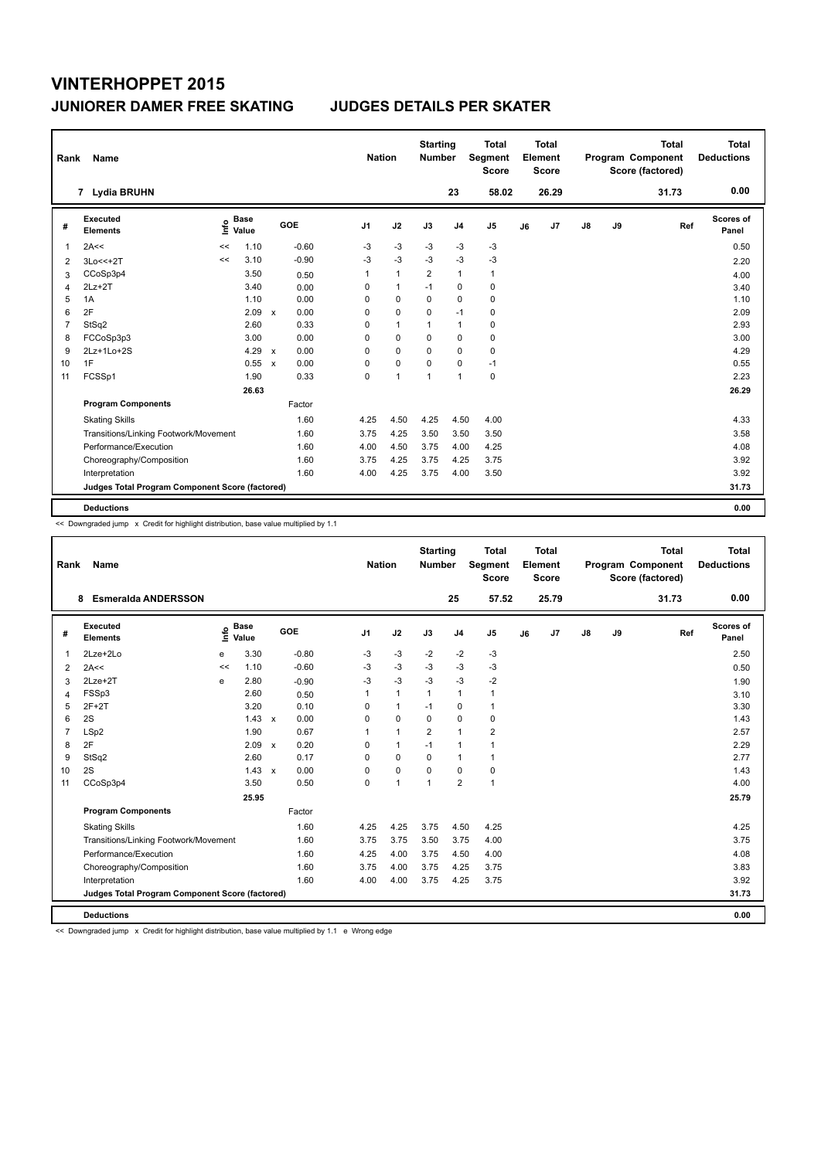| Rank           | Name                                            |      |                      |                           |         | <b>Nation</b>  |                | <b>Starting</b><br><b>Number</b> |                | Total<br>Segment<br><b>Score</b> |    | <b>Total</b><br>Element<br><b>Score</b> |               |    | <b>Total</b><br>Program Component<br>Score (factored) | <b>Total</b><br><b>Deductions</b> |
|----------------|-------------------------------------------------|------|----------------------|---------------------------|---------|----------------|----------------|----------------------------------|----------------|----------------------------------|----|-----------------------------------------|---------------|----|-------------------------------------------------------|-----------------------------------|
|                | 7 Lydia BRUHN                                   |      |                      |                           |         |                |                |                                  | 23             | 58.02                            |    | 26.29                                   |               |    | 31.73                                                 | 0.00                              |
| #              | Executed<br><b>Elements</b>                     | ١nf٥ | <b>Base</b><br>Value |                           | GOE     | J <sub>1</sub> | J2             | J3                               | J <sub>4</sub> | J <sub>5</sub>                   | J6 | J7                                      | $\mathsf{J}8$ | J9 | Ref                                                   | Scores of<br>Panel                |
| 1              | 2A<<                                            | <<   | 1.10                 |                           | $-0.60$ | -3             | $-3$           | $-3$                             | $-3$           | $-3$                             |    |                                         |               |    |                                                       | 0.50                              |
| 2              | 3Lo<<+2T                                        | <<   | 3.10                 |                           | $-0.90$ | $-3$           | $-3$           | $-3$                             | $-3$           | $-3$                             |    |                                         |               |    |                                                       | 2.20                              |
| 3              | CCoSp3p4                                        |      | 3.50                 |                           | 0.50    | 1              | $\mathbf{1}$   | $\overline{2}$                   | $\mathbf{1}$   | $\mathbf{1}$                     |    |                                         |               |    |                                                       | 4.00                              |
| 4              | $2Lz+2T$                                        |      | 3.40                 |                           | 0.00    | 0              | $\mathbf{1}$   | $-1$                             | $\pmb{0}$      | 0                                |    |                                         |               |    |                                                       | 3.40                              |
| 5              | 1A                                              |      | 1.10                 |                           | 0.00    | 0              | 0              | 0                                | $\mathbf 0$    | 0                                |    |                                         |               |    |                                                       | 1.10                              |
| 6              | 2F                                              |      | 2.09                 | $\mathsf{x}$              | 0.00    | 0              | $\mathbf 0$    | $\mathbf 0$                      | $-1$           | 0                                |    |                                         |               |    |                                                       | 2.09                              |
| $\overline{7}$ | StSq2                                           |      | 2.60                 |                           | 0.33    | 0              | $\mathbf{1}$   | $\mathbf{1}$                     | $\mathbf{1}$   | 0                                |    |                                         |               |    |                                                       | 2.93                              |
| 8              | FCCoSp3p3                                       |      | 3.00                 |                           | 0.00    | 0              | $\mathbf 0$    | $\Omega$                         | $\mathbf 0$    | 0                                |    |                                         |               |    |                                                       | 3.00                              |
| 9              | 2Lz+1Lo+2S                                      |      | 4.29                 | $\boldsymbol{\mathsf{x}}$ | 0.00    | 0              | 0              | $\Omega$                         | 0              | 0                                |    |                                         |               |    |                                                       | 4.29                              |
| 10             | 1F                                              |      | 0.55                 | $\mathbf{x}$              | 0.00    | 0              | $\mathbf 0$    | $\Omega$                         | 0              | $-1$                             |    |                                         |               |    |                                                       | 0.55                              |
| 11             | FCSSp1                                          |      | 1.90                 |                           | 0.33    | 0              | $\overline{1}$ | $\overline{1}$                   | $\mathbf{1}$   | 0                                |    |                                         |               |    |                                                       | 2.23                              |
|                |                                                 |      | 26.63                |                           |         |                |                |                                  |                |                                  |    |                                         |               |    |                                                       | 26.29                             |
|                | <b>Program Components</b>                       |      |                      |                           | Factor  |                |                |                                  |                |                                  |    |                                         |               |    |                                                       |                                   |
|                | <b>Skating Skills</b>                           |      |                      |                           | 1.60    | 4.25           | 4.50           | 4.25                             | 4.50           | 4.00                             |    |                                         |               |    |                                                       | 4.33                              |
|                | Transitions/Linking Footwork/Movement           |      |                      |                           | 1.60    | 3.75           | 4.25           | 3.50                             | 3.50           | 3.50                             |    |                                         |               |    |                                                       | 3.58                              |
|                | Performance/Execution                           |      |                      |                           | 1.60    | 4.00           | 4.50           | 3.75                             | 4.00           | 4.25                             |    |                                         |               |    |                                                       | 4.08                              |
|                | Choreography/Composition                        |      |                      |                           | 1.60    | 3.75           | 4.25           | 3.75                             | 4.25           | 3.75                             |    |                                         |               |    |                                                       | 3.92                              |
|                | Interpretation                                  |      |                      |                           | 1.60    | 4.00           | 4.25           | 3.75                             | 4.00           | 3.50                             |    |                                         |               |    |                                                       | 3.92                              |
|                | Judges Total Program Component Score (factored) |      |                      |                           |         |                |                |                                  |                |                                  |    |                                         |               |    |                                                       | 31.73                             |
|                | <b>Deductions</b>                               |      |                      |                           |         |                |                |                                  |                |                                  |    |                                         |               |    |                                                       | 0.00                              |

<< Downgraded jump x Credit for highlight distribution, base value multiplied by 1.1

| Rank           | Name                                            |      |                      |         | <b>Nation</b>  |              | <b>Starting</b><br><b>Number</b> |                | <b>Total</b><br>Segment<br><b>Score</b> |    | <b>Total</b><br>Element<br><b>Score</b> |               |    | <b>Total</b><br>Program Component<br>Score (factored) |     | <b>Total</b><br><b>Deductions</b> |
|----------------|-------------------------------------------------|------|----------------------|---------|----------------|--------------|----------------------------------|----------------|-----------------------------------------|----|-----------------------------------------|---------------|----|-------------------------------------------------------|-----|-----------------------------------|
|                | <b>Esmeralda ANDERSSON</b><br>8                 |      |                      |         |                |              |                                  | 25             | 57.52                                   |    | 25.79                                   |               |    | 31.73                                                 |     | 0.00                              |
| #              | Executed<br><b>Elements</b>                     | Life | <b>Base</b><br>Value | GOE     | J <sub>1</sub> | J2           | J3                               | J <sub>4</sub> | J5                                      | J6 | J7                                      | $\mathsf{J}8$ | J9 |                                                       | Ref | Scores of<br>Panel                |
| 1              | 2Lze+2Lo                                        | e    | 3.30                 | $-0.80$ | $-3$           | $-3$         | $-2$                             | $-2$           | $-3$                                    |    |                                         |               |    |                                                       |     | 2.50                              |
| 2              | 2A<<                                            | <<   | 1.10                 | $-0.60$ | $-3$           | $-3$         | $-3$                             | $-3$           | $-3$                                    |    |                                         |               |    |                                                       |     | 0.50                              |
| 3              | $2Lze+2T$                                       | e    | 2.80                 | $-0.90$ | $-3$           | $-3$         | $-3$                             | $-3$           | $-2$                                    |    |                                         |               |    |                                                       |     | 1.90                              |
| 4              | FSSp3                                           |      | 2.60                 | 0.50    | 1              | $\mathbf{1}$ | 1                                | $\mathbf{1}$   | 1                                       |    |                                         |               |    |                                                       |     | 3.10                              |
| 5              | $2F+2T$                                         |      | 3.20                 | 0.10    | $\Omega$       | $\mathbf{1}$ | $-1$                             | 0              | 1                                       |    |                                         |               |    |                                                       |     | 3.30                              |
| 6              | 2S                                              |      | $1.43 \times$        | 0.00    | $\Omega$       | 0            | 0                                | 0              | 0                                       |    |                                         |               |    |                                                       |     | 1.43                              |
| $\overline{7}$ | LSp2                                            |      | 1.90                 | 0.67    |                | $\mathbf{1}$ | 2                                | $\mathbf{1}$   | $\overline{\mathbf{c}}$                 |    |                                         |               |    |                                                       |     | 2.57                              |
| 8              | 2F                                              |      | 2.09 x               | 0.20    | 0              | 1            | $-1$                             | $\mathbf{1}$   | 1                                       |    |                                         |               |    |                                                       |     | 2.29                              |
| 9              | StSq2                                           |      | 2.60                 | 0.17    | $\Omega$       | $\mathbf 0$  | $\Omega$                         | $\mathbf{1}$   | 1                                       |    |                                         |               |    |                                                       |     | 2.77                              |
| 10             | 2S                                              |      | $1.43 \times$        | 0.00    | 0              | 0            | 0                                | 0              | 0                                       |    |                                         |               |    |                                                       |     | 1.43                              |
| 11             | CCoSp3p4                                        |      | 3.50                 | 0.50    | $\Omega$       | $\mathbf{1}$ | 1                                | $\overline{2}$ | 1                                       |    |                                         |               |    |                                                       |     | 4.00                              |
|                |                                                 |      | 25.95                |         |                |              |                                  |                |                                         |    |                                         |               |    |                                                       |     | 25.79                             |
|                | <b>Program Components</b>                       |      |                      | Factor  |                |              |                                  |                |                                         |    |                                         |               |    |                                                       |     |                                   |
|                | <b>Skating Skills</b>                           |      |                      | 1.60    | 4.25           | 4.25         | 3.75                             | 4.50           | 4.25                                    |    |                                         |               |    |                                                       |     | 4.25                              |
|                | Transitions/Linking Footwork/Movement           |      |                      | 1.60    | 3.75           | 3.75         | 3.50                             | 3.75           | 4.00                                    |    |                                         |               |    |                                                       |     | 3.75                              |
|                | Performance/Execution                           |      |                      | 1.60    | 4.25           | 4.00         | 3.75                             | 4.50           | 4.00                                    |    |                                         |               |    |                                                       |     | 4.08                              |
|                | Choreography/Composition                        |      |                      | 1.60    | 3.75           | 4.00         | 3.75                             | 4.25           | 3.75                                    |    |                                         |               |    |                                                       |     | 3.83                              |
|                | Interpretation                                  |      |                      | 1.60    | 4.00           | 4.00         | 3.75                             | 4.25           | 3.75                                    |    |                                         |               |    |                                                       |     | 3.92                              |
|                | Judges Total Program Component Score (factored) |      |                      |         |                |              |                                  |                |                                         |    |                                         |               |    |                                                       |     | 31.73                             |
|                | <b>Deductions</b>                               |      |                      |         |                |              |                                  |                |                                         |    |                                         |               |    |                                                       |     | 0.00                              |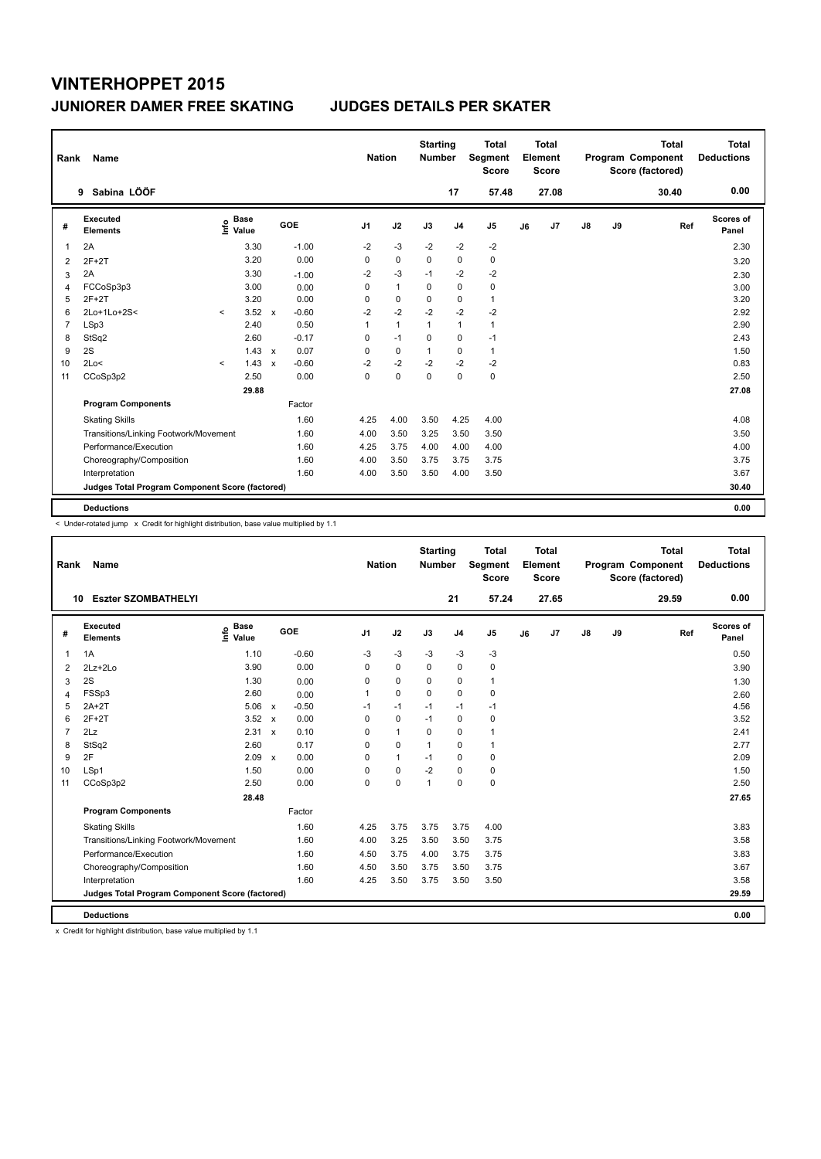| Rank           | Name                                            |         |                      |              |         | <b>Nation</b>  |              | <b>Starting</b><br><b>Number</b> |                | <b>Total</b><br>Segment<br><b>Score</b> |    | <b>Total</b><br>Element<br>Score |               |    | <b>Total</b><br>Program Component<br>Score (factored) | Total<br><b>Deductions</b> |
|----------------|-------------------------------------------------|---------|----------------------|--------------|---------|----------------|--------------|----------------------------------|----------------|-----------------------------------------|----|----------------------------------|---------------|----|-------------------------------------------------------|----------------------------|
|                | Sabina LÖÖF<br>9                                |         |                      |              |         |                |              |                                  | 17             | 57.48                                   |    | 27.08                            |               |    | 30.40                                                 | 0.00                       |
| #              | <b>Executed</b><br><b>Elements</b>              | ١nf٥    | <b>Base</b><br>Value |              | GOE     | J <sub>1</sub> | J2           | J3                               | J <sub>4</sub> | J <sub>5</sub>                          | J6 | J7                               | $\mathsf{J}8$ | J9 | Ref                                                   | Scores of<br>Panel         |
| 1              | 2A                                              |         | 3.30                 |              | $-1.00$ | $-2$           | $-3$         | $-2$                             | $-2$           | $-2$                                    |    |                                  |               |    |                                                       | 2.30                       |
| $\overline{2}$ | $2F+2T$                                         |         | 3.20                 |              | 0.00    | 0              | $\mathbf 0$  | $\Omega$                         | $\mathbf 0$    | $\pmb{0}$                               |    |                                  |               |    |                                                       | 3.20                       |
| 3              | 2A                                              |         | 3.30                 |              | $-1.00$ | $-2$           | $-3$         | $-1$                             | $-2$           | $-2$                                    |    |                                  |               |    |                                                       | 2.30                       |
| 4              | FCCoSp3p3                                       |         | 3.00                 |              | 0.00    | 0              | $\mathbf{1}$ | $\Omega$                         | 0              | 0                                       |    |                                  |               |    |                                                       | 3.00                       |
| 5              | $2F+2T$                                         |         | 3.20                 |              | 0.00    | 0              | 0            | 0                                | 0              | $\mathbf{1}$                            |    |                                  |               |    |                                                       | 3.20                       |
| 6              | 2Lo+1Lo+2S<                                     | $\prec$ | 3.52                 | $\mathbf{x}$ | $-0.60$ | $-2$           | $-2$         | $-2$                             | $-2$           | $-2$                                    |    |                                  |               |    |                                                       | 2.92                       |
| $\overline{7}$ | LSp3                                            |         | 2.40                 |              | 0.50    | 1              | $\mathbf{1}$ | $\mathbf{1}$                     | $\mathbf{1}$   | $\mathbf{1}$                            |    |                                  |               |    |                                                       | 2.90                       |
| 8              | StSq2                                           |         | 2.60                 |              | $-0.17$ | 0              | $-1$         | $\Omega$                         | $\pmb{0}$      | $-1$                                    |    |                                  |               |    |                                                       | 2.43                       |
| 9              | 2S                                              |         | $1.43 \times$        |              | 0.07    | 0              | 0            | $\mathbf{1}$                     | 0              | $\mathbf{1}$                            |    |                                  |               |    |                                                       | 1.50                       |
| 10             | 2Lo<                                            | $\prec$ | 1.43                 | $\mathsf{x}$ | $-0.60$ | $-2$           | $-2$         | $-2$                             | $-2$           | -2                                      |    |                                  |               |    |                                                       | 0.83                       |
| 11             | CCoSp3p2                                        |         | 2.50                 |              | 0.00    | 0              | $\mathbf 0$  | 0                                | $\mathbf 0$    | $\mathbf 0$                             |    |                                  |               |    |                                                       | 2.50                       |
|                |                                                 |         | 29.88                |              |         |                |              |                                  |                |                                         |    |                                  |               |    |                                                       | 27.08                      |
|                | <b>Program Components</b>                       |         |                      |              | Factor  |                |              |                                  |                |                                         |    |                                  |               |    |                                                       |                            |
|                | <b>Skating Skills</b>                           |         |                      |              | 1.60    | 4.25           | 4.00         | 3.50                             | 4.25           | 4.00                                    |    |                                  |               |    |                                                       | 4.08                       |
|                | Transitions/Linking Footwork/Movement           |         |                      |              | 1.60    | 4.00           | 3.50         | 3.25                             | 3.50           | 3.50                                    |    |                                  |               |    |                                                       | 3.50                       |
|                | Performance/Execution                           |         |                      |              | 1.60    | 4.25           | 3.75         | 4.00                             | 4.00           | 4.00                                    |    |                                  |               |    |                                                       | 4.00                       |
|                | Choreography/Composition                        |         |                      |              | 1.60    | 4.00           | 3.50         | 3.75                             | 3.75           | 3.75                                    |    |                                  |               |    |                                                       | 3.75                       |
|                | Interpretation                                  |         |                      |              | 1.60    | 4.00           | 3.50         | 3.50                             | 4.00           | 3.50                                    |    |                                  |               |    |                                                       | 3.67                       |
|                | Judges Total Program Component Score (factored) |         |                      |              |         |                |              |                                  |                |                                         |    |                                  |               |    |                                                       | 30.40                      |
|                | <b>Deductions</b>                               |         |                      |              |         |                |              |                                  |                |                                         |    |                                  |               |    |                                                       | 0.00                       |

< Under-rotated jump x Credit for highlight distribution, base value multiplied by 1.1

| Rank           | Name                                            |                            |              |         | <b>Nation</b>  |              | <b>Starting</b><br><b>Number</b> |                | <b>Total</b><br>Segment<br><b>Score</b> |    | <b>Total</b><br>Element<br><b>Score</b> |               |    | <b>Total</b><br>Program Component<br>Score (factored) | <b>Total</b><br><b>Deductions</b> |
|----------------|-------------------------------------------------|----------------------------|--------------|---------|----------------|--------------|----------------------------------|----------------|-----------------------------------------|----|-----------------------------------------|---------------|----|-------------------------------------------------------|-----------------------------------|
| 10             | <b>Eszter SZOMBATHELYI</b>                      |                            |              |         |                |              |                                  | 21             | 57.24                                   |    | 27.65                                   |               |    | 29.59                                                 | 0.00                              |
| #              | Executed<br><b>Elements</b>                     | <b>Base</b><br>۴ů<br>Value | GOE          |         | J <sub>1</sub> | J2           | J3                               | J <sub>4</sub> | J <sub>5</sub>                          | J6 | J7                                      | $\mathsf{J}8$ | J9 | Ref                                                   | Scores of<br>Panel                |
| 1              | 1A                                              | 1.10                       |              | $-0.60$ | $-3$           | $-3$         | $-3$                             | $-3$           | $-3$                                    |    |                                         |               |    |                                                       | 0.50                              |
| 2              | 2Lz+2Lo                                         | 3.90                       |              | 0.00    | 0              | $\Omega$     | $\Omega$                         | $\mathbf 0$    | 0                                       |    |                                         |               |    |                                                       | 3.90                              |
| 3              | 2S                                              | 1.30                       |              | 0.00    | 0              | 0            | 0                                | 0              | 1                                       |    |                                         |               |    |                                                       | 1.30                              |
| $\overline{4}$ | FSSp3                                           | 2.60                       |              | 0.00    | 1              | 0            | $\mathbf 0$                      | 0              | 0                                       |    |                                         |               |    |                                                       | 2.60                              |
| 5              | $2A+2T$                                         | 5.06                       | $\mathsf{x}$ | $-0.50$ | $-1$           | $-1$         | $-1$                             | $-1$           | $-1$                                    |    |                                         |               |    |                                                       | 4.56                              |
| 6              | $2F+2T$                                         | $3.52 \times$              |              | 0.00    | 0              | 0            | $-1$                             | 0              | 0                                       |    |                                         |               |    |                                                       | 3.52                              |
| $\overline{7}$ | 2Lz                                             | $2.31 \times$              |              | 0.10    | 0              | 1            | $\Omega$                         | 0              | $\mathbf{1}$                            |    |                                         |               |    |                                                       | 2.41                              |
| 8              | StSq2                                           | 2.60                       |              | 0.17    | 0              | $\mathbf 0$  | 1                                | 0              | $\mathbf{1}$                            |    |                                         |               |    |                                                       | 2.77                              |
| 9              | 2F                                              | $2.09 \times$              |              | 0.00    | 0              | $\mathbf{1}$ | $-1$                             | 0              | 0                                       |    |                                         |               |    |                                                       | 2.09                              |
| 10             | LSp1                                            | 1.50                       |              | 0.00    | 0              | 0            | $-2$                             | 0              | 0                                       |    |                                         |               |    |                                                       | 1.50                              |
| 11             | CCoSp3p2                                        | 2.50                       |              | 0.00    | $\Omega$       | $\Omega$     | $\overline{1}$                   | $\Omega$       | 0                                       |    |                                         |               |    |                                                       | 2.50                              |
|                |                                                 | 28.48                      |              |         |                |              |                                  |                |                                         |    |                                         |               |    |                                                       | 27.65                             |
|                | <b>Program Components</b>                       |                            | Factor       |         |                |              |                                  |                |                                         |    |                                         |               |    |                                                       |                                   |
|                | <b>Skating Skills</b>                           |                            |              | 1.60    | 4.25           | 3.75         | 3.75                             | 3.75           | 4.00                                    |    |                                         |               |    |                                                       | 3.83                              |
|                | Transitions/Linking Footwork/Movement           |                            |              | 1.60    | 4.00           | 3.25         | 3.50                             | 3.50           | 3.75                                    |    |                                         |               |    |                                                       | 3.58                              |
|                | Performance/Execution                           |                            |              | 1.60    | 4.50           | 3.75         | 4.00                             | 3.75           | 3.75                                    |    |                                         |               |    |                                                       | 3.83                              |
|                | Choreography/Composition                        |                            |              | 1.60    | 4.50           | 3.50         | 3.75                             | 3.50           | 3.75                                    |    |                                         |               |    |                                                       | 3.67                              |
|                | Interpretation                                  |                            |              | 1.60    | 4.25           | 3.50         | 3.75                             | 3.50           | 3.50                                    |    |                                         |               |    |                                                       | 3.58                              |
|                | Judges Total Program Component Score (factored) |                            |              |         |                |              |                                  |                |                                         |    |                                         |               |    |                                                       | 29.59                             |
|                | <b>Deductions</b>                               |                            |              |         |                |              |                                  |                |                                         |    |                                         |               |    |                                                       | 0.00                              |

x Credit for highlight distribution, base value multiplied by 1.1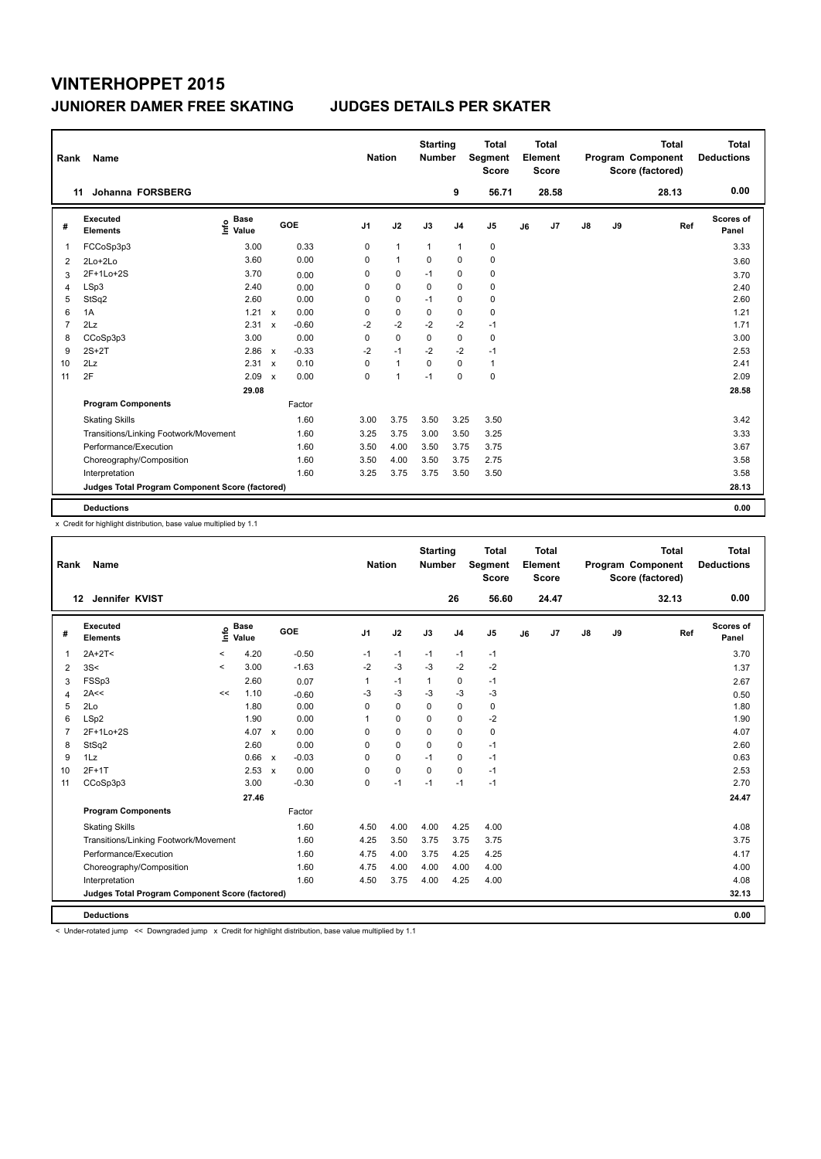| Rank           | Name                                            |                            |                           |         |                | <b>Nation</b> |                | <b>Starting</b><br><b>Number</b> |                | <b>Total</b><br>Segment<br><b>Score</b> |    | <b>Total</b><br>Element<br><b>Score</b> |               |    | <b>Total</b><br>Program Component<br>Score (factored) | <b>Total</b><br><b>Deductions</b> |
|----------------|-------------------------------------------------|----------------------------|---------------------------|---------|----------------|---------------|----------------|----------------------------------|----------------|-----------------------------------------|----|-----------------------------------------|---------------|----|-------------------------------------------------------|-----------------------------------|
|                | Johanna FORSBERG<br>11                          |                            |                           |         |                |               |                |                                  | 9              | 56.71                                   |    | 28.58                                   |               |    | 28.13                                                 | 0.00                              |
| #              | Executed<br><b>Elements</b>                     | <b>Base</b><br>۴۵<br>Value |                           | GOE     | J <sub>1</sub> |               | J2             | J3                               | J <sub>4</sub> | J <sub>5</sub>                          | J6 | J <sub>7</sub>                          | $\mathsf{J}8$ | J9 | Ref                                                   | Scores of<br>Panel                |
| 1              | FCCoSp3p3                                       | 3.00                       |                           | 0.33    |                | 0             | $\mathbf{1}$   | $\mathbf{1}$                     | $\mathbf{1}$   | $\pmb{0}$                               |    |                                         |               |    |                                                       | 3.33                              |
| 2              | 2Lo+2Lo                                         | 3.60                       |                           | 0.00    |                | 0             | $\mathbf{1}$   | $\Omega$                         | $\mathbf 0$    | $\pmb{0}$                               |    |                                         |               |    |                                                       | 3.60                              |
| 3              | 2F+1Lo+2S                                       | 3.70                       |                           | 0.00    |                | 0             | 0              | $-1$                             | 0              | $\pmb{0}$                               |    |                                         |               |    |                                                       | 3.70                              |
| 4              | LSp3                                            | 2.40                       |                           | 0.00    |                | 0             | $\mathbf 0$    | 0                                | $\mathbf 0$    | $\pmb{0}$                               |    |                                         |               |    |                                                       | 2.40                              |
| 5              | StSq2                                           | 2.60                       |                           | 0.00    |                | 0             | 0              | $-1$                             | 0              | 0                                       |    |                                         |               |    |                                                       | 2.60                              |
| 6              | 1A                                              | 1.21                       | $\mathsf{x}$              | 0.00    |                | 0             | $\mathbf 0$    | 0                                | $\mathbf 0$    | $\mathbf 0$                             |    |                                         |               |    |                                                       | 1.21                              |
| $\overline{7}$ | 2Lz                                             | 2.31                       | $\mathbf x$               | $-0.60$ |                | $-2$          | $-2$           | $-2$                             | $-2$           | $-1$                                    |    |                                         |               |    |                                                       | 1.71                              |
| 8              | CCoSp3p3                                        | 3.00                       |                           | 0.00    |                | 0             | $\mathbf 0$    | 0                                | 0              | 0                                       |    |                                         |               |    |                                                       | 3.00                              |
| 9              | $2S+2T$                                         | 2.86                       | $\mathsf{x}$              | $-0.33$ |                | $-2$          | $-1$           | $-2$                             | $-2$           | $-1$                                    |    |                                         |               |    |                                                       | 2.53                              |
| 10             | 2Lz                                             | 2.31                       | $\mathbf x$               | 0.10    |                | 0             | $\mathbf{1}$   | $\Omega$                         | $\Omega$       | $\mathbf{1}$                            |    |                                         |               |    |                                                       | 2.41                              |
| 11             | 2F                                              | 2.09                       | $\boldsymbol{\mathsf{x}}$ | 0.00    |                | 0             | $\overline{1}$ | $-1$                             | $\mathbf 0$    | $\mathbf 0$                             |    |                                         |               |    |                                                       | 2.09                              |
|                |                                                 | 29.08                      |                           |         |                |               |                |                                  |                |                                         |    |                                         |               |    |                                                       | 28.58                             |
|                | <b>Program Components</b>                       |                            |                           | Factor  |                |               |                |                                  |                |                                         |    |                                         |               |    |                                                       |                                   |
|                | <b>Skating Skills</b>                           |                            |                           | 1.60    |                | 3.00          | 3.75           | 3.50                             | 3.25           | 3.50                                    |    |                                         |               |    |                                                       | 3.42                              |
|                | Transitions/Linking Footwork/Movement           |                            |                           | 1.60    |                | 3.25          | 3.75           | 3.00                             | 3.50           | 3.25                                    |    |                                         |               |    |                                                       | 3.33                              |
|                | Performance/Execution                           |                            |                           | 1.60    |                | 3.50          | 4.00           | 3.50                             | 3.75           | 3.75                                    |    |                                         |               |    |                                                       | 3.67                              |
|                | Choreography/Composition                        |                            |                           | 1.60    |                | 3.50          | 4.00           | 3.50                             | 3.75           | 2.75                                    |    |                                         |               |    |                                                       | 3.58                              |
|                | Interpretation                                  |                            |                           | 1.60    |                | 3.25          | 3.75           | 3.75                             | 3.50           | 3.50                                    |    |                                         |               |    |                                                       | 3.58                              |
|                | Judges Total Program Component Score (factored) |                            |                           |         |                |               |                |                                  |                |                                         |    |                                         |               |    |                                                       | 28.13                             |
|                | <b>Deductions</b>                               |                            |                           |         |                |               |                |                                  |                |                                         |    |                                         |               |    |                                                       | 0.00                              |

x Credit for highlight distribution, base value multiplied by 1.1

| Rank                    | Name                                            |         |                      |         |                | <b>Nation</b> |          | <b>Starting</b><br><b>Number</b> |                | <b>Total</b><br>Segment<br><b>Score</b> |    | <b>Total</b><br>Element<br>Score |               |    | <b>Total</b><br>Program Component<br>Score (factored) |     | <b>Total</b><br><b>Deductions</b> |
|-------------------------|-------------------------------------------------|---------|----------------------|---------|----------------|---------------|----------|----------------------------------|----------------|-----------------------------------------|----|----------------------------------|---------------|----|-------------------------------------------------------|-----|-----------------------------------|
| 12                      | Jennifer KVIST                                  |         |                      |         |                |               |          |                                  | 26             | 56.60                                   |    | 24.47                            |               |    | 32.13                                                 |     | 0.00                              |
| #                       | Executed<br><b>Elements</b>                     | e       | <b>Base</b><br>Value | GOE     | J <sub>1</sub> |               | J2       | J3                               | J <sub>4</sub> | J <sub>5</sub>                          | J6 | J <sub>7</sub>                   | $\mathsf{J}8$ | J9 |                                                       | Ref | Scores of<br>Panel                |
| $\mathbf{1}$            | $2A+2T<$                                        | $\,<\,$ | 4.20                 | $-0.50$ | $-1$           |               | $-1$     | $-1$                             | $-1$           | $-1$                                    |    |                                  |               |    |                                                       |     | 3.70                              |
| 2                       | 3S<                                             | $\prec$ | 3.00                 | $-1.63$ | $-2$           |               | $-3$     | $-3$                             | $-2$           | $-2$                                    |    |                                  |               |    |                                                       |     | 1.37                              |
| 3                       | FSSp3                                           |         | 2.60                 | 0.07    | 1              |               | $-1$     | $\mathbf{1}$                     | 0              | $-1$                                    |    |                                  |               |    |                                                       |     | 2.67                              |
| $\overline{\mathbf{4}}$ | 2A<<                                            | <<      | 1.10                 | $-0.60$ | $-3$           |               | $-3$     | $-3$                             | $-3$           | $-3$                                    |    |                                  |               |    |                                                       |     | 0.50                              |
| 5                       | 2Lo                                             |         | 1.80                 | 0.00    | 0              |               | 0        | $\Omega$                         | $\mathbf 0$    | 0                                       |    |                                  |               |    |                                                       |     | 1.80                              |
| 6                       | LSp2                                            |         | 1.90                 | 0.00    |                |               | 0        | 0                                | 0              | $-2$                                    |    |                                  |               |    |                                                       |     | 1.90                              |
| $\overline{7}$          | 2F+1Lo+2S                                       |         | 4.07 $\times$        | 0.00    | 0              |               | $\Omega$ | $\Omega$                         | $\Omega$       | 0                                       |    |                                  |               |    |                                                       |     | 4.07                              |
| 8                       | StSq2                                           |         | 2.60                 | 0.00    | 0              |               | 0        | $\Omega$                         | 0              | $-1$                                    |    |                                  |               |    |                                                       |     | 2.60                              |
| 9                       | 1Lz                                             |         | 0.66 x               | $-0.03$ | 0              |               | 0        | $-1$                             | 0              | $-1$                                    |    |                                  |               |    |                                                       |     | 0.63                              |
| 10                      | $2F+1T$                                         |         | $2.53 \times$        | 0.00    | 0              |               | 0        | $\Omega$                         | 0              | $-1$                                    |    |                                  |               |    |                                                       |     | 2.53                              |
| 11                      | CCoSp3p3                                        |         | 3.00                 | $-0.30$ | 0              |               | $-1$     | $-1$                             | $-1$           | $-1$                                    |    |                                  |               |    |                                                       |     | 2.70                              |
|                         |                                                 |         | 27.46                |         |                |               |          |                                  |                |                                         |    |                                  |               |    |                                                       |     | 24.47                             |
|                         | <b>Program Components</b>                       |         |                      | Factor  |                |               |          |                                  |                |                                         |    |                                  |               |    |                                                       |     |                                   |
|                         | <b>Skating Skills</b>                           |         |                      | 1.60    | 4.50           |               | 4.00     | 4.00                             | 4.25           | 4.00                                    |    |                                  |               |    |                                                       |     | 4.08                              |
|                         | Transitions/Linking Footwork/Movement           |         |                      | 1.60    | 4.25           |               | 3.50     | 3.75                             | 3.75           | 3.75                                    |    |                                  |               |    |                                                       |     | 3.75                              |
|                         | Performance/Execution                           |         |                      | 1.60    | 4.75           |               | 4.00     | 3.75                             | 4.25           | 4.25                                    |    |                                  |               |    |                                                       |     | 4.17                              |
|                         | Choreography/Composition                        |         |                      | 1.60    | 4.75           |               | 4.00     | 4.00                             | 4.00           | 4.00                                    |    |                                  |               |    |                                                       |     | 4.00                              |
|                         | Interpretation                                  |         |                      | 1.60    | 4.50           |               | 3.75     | 4.00                             | 4.25           | 4.00                                    |    |                                  |               |    |                                                       |     | 4.08                              |
|                         | Judges Total Program Component Score (factored) |         |                      |         |                |               |          |                                  |                |                                         |    |                                  |               |    |                                                       |     | 32.13                             |
|                         | <b>Deductions</b>                               |         |                      |         |                |               |          |                                  |                |                                         |    |                                  |               |    |                                                       |     | 0.00                              |

< Under-rotated jump << Downgraded jump x Credit for highlight distribution, base value multiplied by 1.1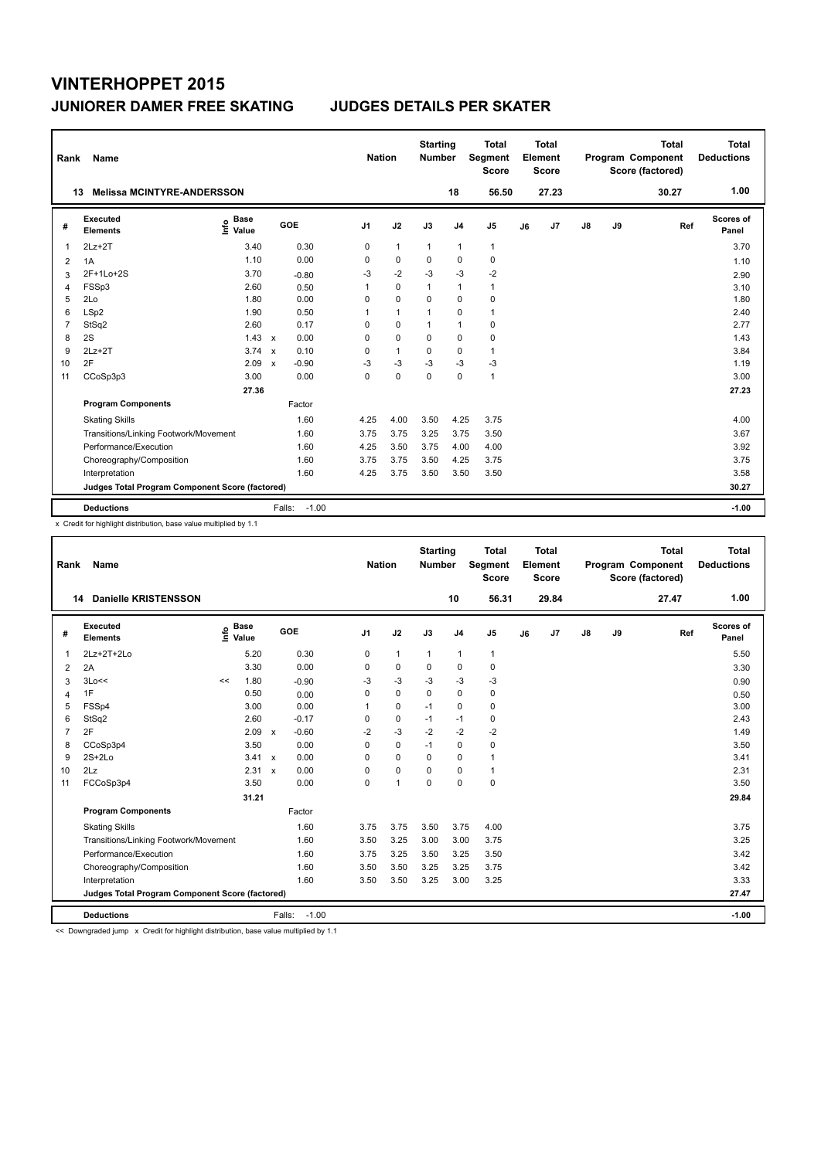| Rank           | Name                                            |                              |              |                   | <b>Nation</b>  |              | <b>Starting</b><br><b>Number</b> |                | <b>Total</b><br>Segment<br><b>Score</b> |    | <b>Total</b><br>Element<br><b>Score</b> |               |    | <b>Total</b><br>Program Component<br>Score (factored) | Total<br><b>Deductions</b> |
|----------------|-------------------------------------------------|------------------------------|--------------|-------------------|----------------|--------------|----------------------------------|----------------|-----------------------------------------|----|-----------------------------------------|---------------|----|-------------------------------------------------------|----------------------------|
| 13             | <b>Melissa MCINTYRE-ANDERSSON</b>               |                              |              |                   |                |              |                                  | 18             | 56.50                                   |    | 27.23                                   |               |    | 30.27                                                 | 1.00                       |
| #              | Executed<br><b>Elements</b>                     | <b>Base</b><br>١nf٥<br>Value |              | GOE               | J <sub>1</sub> | J2           | J3                               | J <sub>4</sub> | J <sub>5</sub>                          | J6 | J7                                      | $\mathsf{J}8$ | J9 | Ref                                                   | <b>Scores of</b><br>Panel  |
| 1              | $2Lz+2T$                                        | 3.40                         |              | 0.30              | 0              | $\mathbf{1}$ | $\mathbf{1}$                     | $\mathbf{1}$   | $\mathbf{1}$                            |    |                                         |               |    |                                                       | 3.70                       |
| 2              | 1A                                              | 1.10                         |              | 0.00              | 0              | $\mathbf 0$  | $\Omega$                         | $\Omega$       | $\mathbf 0$                             |    |                                         |               |    |                                                       | 1.10                       |
| 3              | 2F+1Lo+2S                                       | 3.70                         |              | $-0.80$           | -3             | $-2$         | -3                               | $-3$           | $-2$                                    |    |                                         |               |    |                                                       | 2.90                       |
| 4              | FSSp3                                           | 2.60                         |              | 0.50              | 1              | $\mathbf 0$  | $\mathbf{1}$                     | $\mathbf{1}$   | $\mathbf{1}$                            |    |                                         |               |    |                                                       | 3.10                       |
| 5              | 2Lo                                             | 1.80                         |              | 0.00              | 0              | $\mathbf 0$  | 0                                | $\mathbf 0$    | 0                                       |    |                                         |               |    |                                                       | 1.80                       |
| 6              | LSp2                                            | 1.90                         |              | 0.50              | 1              | $\mathbf{1}$ | 1                                | $\mathbf 0$    | $\mathbf{1}$                            |    |                                         |               |    |                                                       | 2.40                       |
| $\overline{7}$ | StSq2                                           | 2.60                         |              | 0.17              | 0              | $\mathbf 0$  | $\mathbf{1}$                     | $\mathbf{1}$   | $\mathbf 0$                             |    |                                         |               |    |                                                       | 2.77                       |
| 8              | 2S                                              | 1.43                         | $\mathsf{x}$ | 0.00              | 0              | $\mathbf 0$  | 0                                | $\mathbf 0$    | $\mathbf 0$                             |    |                                         |               |    |                                                       | 1.43                       |
| 9              | $2Lz+2T$                                        | 3.74                         | $\mathbf{x}$ | 0.10              | 0              | $\mathbf{1}$ | 0                                | $\mathbf 0$    | $\mathbf{1}$                            |    |                                         |               |    |                                                       | 3.84                       |
| 10             | 2F                                              | 2.09                         | $\mathbf{x}$ | $-0.90$           | -3             | $-3$         | -3                               | $-3$           | $-3$                                    |    |                                         |               |    |                                                       | 1.19                       |
| 11             | CCoSp3p3                                        | 3.00                         |              | 0.00              | $\mathbf 0$    | $\mathbf 0$  | $\mathbf 0$                      | $\mathbf 0$    | $\mathbf{1}$                            |    |                                         |               |    |                                                       | 3.00                       |
|                |                                                 | 27.36                        |              |                   |                |              |                                  |                |                                         |    |                                         |               |    |                                                       | 27.23                      |
|                | <b>Program Components</b>                       |                              |              | Factor            |                |              |                                  |                |                                         |    |                                         |               |    |                                                       |                            |
|                | <b>Skating Skills</b>                           |                              |              | 1.60              | 4.25           | 4.00         | 3.50                             | 4.25           | 3.75                                    |    |                                         |               |    |                                                       | 4.00                       |
|                | Transitions/Linking Footwork/Movement           |                              |              | 1.60              | 3.75           | 3.75         | 3.25                             | 3.75           | 3.50                                    |    |                                         |               |    |                                                       | 3.67                       |
|                | Performance/Execution                           |                              |              | 1.60              | 4.25           | 3.50         | 3.75                             | 4.00           | 4.00                                    |    |                                         |               |    |                                                       | 3.92                       |
|                | Choreography/Composition                        |                              |              | 1.60              | 3.75           | 3.75         | 3.50                             | 4.25           | 3.75                                    |    |                                         |               |    |                                                       | 3.75                       |
|                | Interpretation                                  |                              |              | 1.60              | 4.25           | 3.75         | 3.50                             | 3.50           | 3.50                                    |    |                                         |               |    |                                                       | 3.58                       |
|                | Judges Total Program Component Score (factored) |                              |              |                   |                |              |                                  |                |                                         |    |                                         |               |    |                                                       | 30.27                      |
|                | <b>Deductions</b>                               |                              |              | $-1.00$<br>Falls: |                |              |                                  |                |                                         |    |                                         |               |    |                                                       | $-1.00$                    |

x Credit for highlight distribution, base value multiplied by 1.1

| Rank           | Name                                            |    |                                  |                   |                | <b>Nation</b> | <b>Starting</b><br><b>Number</b> |                | Total<br>Segment<br><b>Score</b> |    | Total<br>Element<br><b>Score</b> |    |    | <b>Total</b><br>Program Component<br>Score (factored) | <b>Total</b><br><b>Deductions</b> |
|----------------|-------------------------------------------------|----|----------------------------------|-------------------|----------------|---------------|----------------------------------|----------------|----------------------------------|----|----------------------------------|----|----|-------------------------------------------------------|-----------------------------------|
|                | <b>Danielle KRISTENSSON</b><br>14               |    |                                  |                   |                |               |                                  | 10             | 56.31                            |    | 29.84                            |    |    | 27.47                                                 | 1.00                              |
| #              | Executed<br><b>Elements</b>                     |    | <b>Base</b><br>e Base<br>⊆ Value | GOE               | J <sub>1</sub> | J2            | J3                               | J <sub>4</sub> | J <sub>5</sub>                   | J6 | J <sub>7</sub>                   | J8 | J9 | Ref                                                   | <b>Scores of</b><br>Panel         |
| 1              | 2Lz+2T+2Lo                                      |    | 5.20                             | 0.30              | 0              | $\mathbf{1}$  | $\mathbf{1}$                     | $\mathbf{1}$   | $\mathbf{1}$                     |    |                                  |    |    |                                                       | 5.50                              |
| 2              | 2A                                              |    | 3.30                             | 0.00              | 0              | $\mathbf 0$   | 0                                | 0              | 0                                |    |                                  |    |    |                                                       | 3.30                              |
| 3              | 3Lo<<                                           | << | 1.80                             | $-0.90$           | $-3$           | $-3$          | $-3$                             | $-3$           | $-3$                             |    |                                  |    |    |                                                       | 0.90                              |
| 4              | 1F                                              |    | 0.50                             | 0.00              | 0              | 0             | 0                                | 0              | 0                                |    |                                  |    |    |                                                       | 0.50                              |
| 5              | FSSp4                                           |    | 3.00                             | 0.00              |                | $\mathbf 0$   | $-1$                             | 0              | 0                                |    |                                  |    |    |                                                       | 3.00                              |
| 6              | StSq2                                           |    | 2.60                             | $-0.17$           | 0              | $\mathbf 0$   | $-1$                             | $-1$           | 0                                |    |                                  |    |    |                                                       | 2.43                              |
| $\overline{7}$ | 2F                                              |    | $2.09 \times$                    | $-0.60$           | $-2$           | $-3$          | $-2$                             | $-2$           | $-2$                             |    |                                  |    |    |                                                       | 1.49                              |
| 8              | CCoSp3p4                                        |    | 3.50                             | 0.00              | $\Omega$       | $\mathbf 0$   | $-1$                             | $\mathbf 0$    | 0                                |    |                                  |    |    |                                                       | 3.50                              |
| 9              | $2S+2Lo$                                        |    | 3.41 x                           | 0.00              | 0              | 0             | 0                                | 0              | 1                                |    |                                  |    |    |                                                       | 3.41                              |
| 10             | 2Lz                                             |    | 2.31 x                           | 0.00              | $\Omega$       | $\mathbf 0$   | 0                                | 0              | 1                                |    |                                  |    |    |                                                       | 2.31                              |
| 11             | FCCoSp3p4                                       |    | 3.50                             | 0.00              | 0              | $\mathbf{1}$  | $\Omega$                         | 0              | 0                                |    |                                  |    |    |                                                       | 3.50                              |
|                |                                                 |    | 31.21                            |                   |                |               |                                  |                |                                  |    |                                  |    |    |                                                       | 29.84                             |
|                | <b>Program Components</b>                       |    |                                  | Factor            |                |               |                                  |                |                                  |    |                                  |    |    |                                                       |                                   |
|                | <b>Skating Skills</b>                           |    |                                  | 1.60              | 3.75           | 3.75          | 3.50                             | 3.75           | 4.00                             |    |                                  |    |    |                                                       | 3.75                              |
|                | Transitions/Linking Footwork/Movement           |    |                                  | 1.60              | 3.50           | 3.25          | 3.00                             | 3.00           | 3.75                             |    |                                  |    |    |                                                       | 3.25                              |
|                | Performance/Execution                           |    |                                  | 1.60              | 3.75           | 3.25          | 3.50                             | 3.25           | 3.50                             |    |                                  |    |    |                                                       | 3.42                              |
|                | Choreography/Composition                        |    |                                  | 1.60              | 3.50           | 3.50          | 3.25                             | 3.25           | 3.75                             |    |                                  |    |    |                                                       | 3.42                              |
|                | Interpretation                                  |    |                                  | 1.60              | 3.50           | 3.50          | 3.25                             | 3.00           | 3.25                             |    |                                  |    |    |                                                       | 3.33                              |
|                | Judges Total Program Component Score (factored) |    |                                  |                   |                |               |                                  |                |                                  |    |                                  |    |    |                                                       | 27.47                             |
|                | <b>Deductions</b>                               |    |                                  | $-1.00$<br>Falls: |                |               |                                  |                |                                  |    |                                  |    |    |                                                       | $-1.00$                           |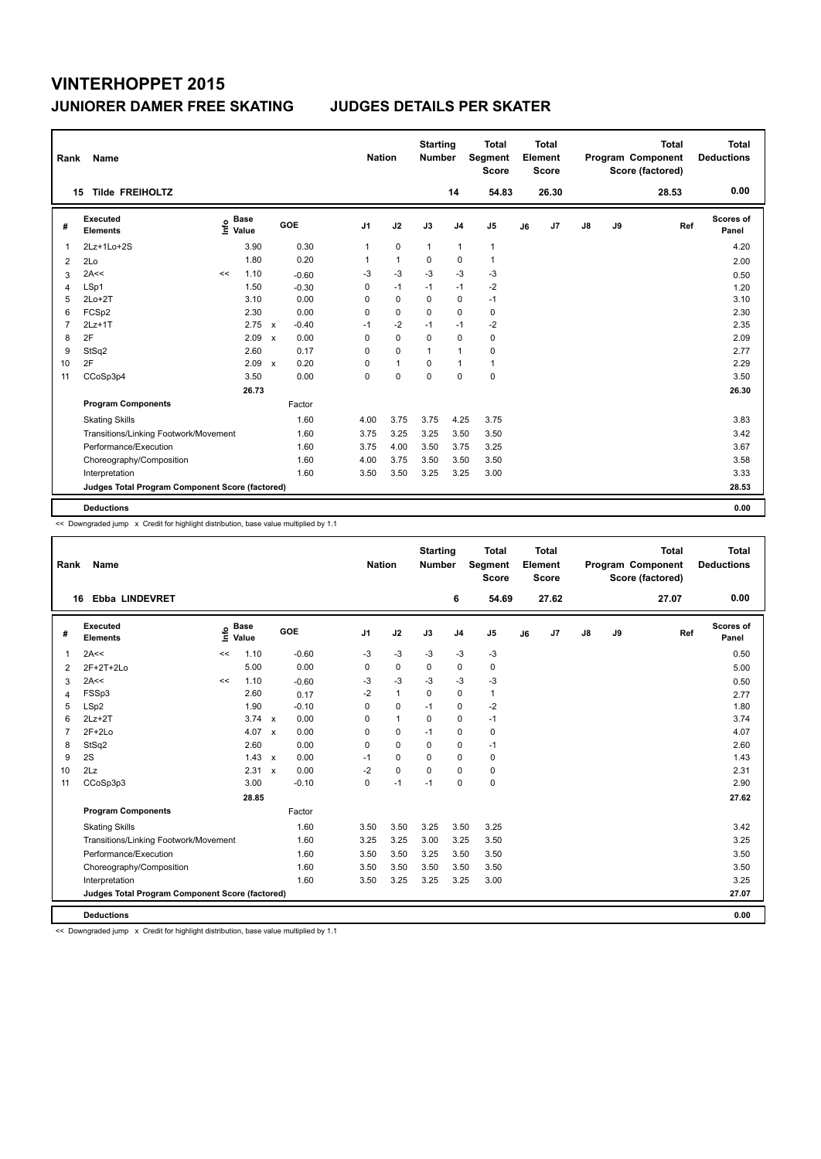| Rank           | Name                                            |      |                      |              |         | <b>Nation</b>  |                | <b>Starting</b><br><b>Number</b> |                | Total<br>Segment<br><b>Score</b> |    | <b>Total</b><br>Element<br><b>Score</b> |               |    | <b>Total</b><br>Program Component<br>Score (factored) | <b>Total</b><br><b>Deductions</b> |
|----------------|-------------------------------------------------|------|----------------------|--------------|---------|----------------|----------------|----------------------------------|----------------|----------------------------------|----|-----------------------------------------|---------------|----|-------------------------------------------------------|-----------------------------------|
|                | <b>Tilde FREIHOLTZ</b><br>15                    |      |                      |              |         |                |                |                                  | 14             | 54.83                            |    | 26.30                                   |               |    | 28.53                                                 | 0.00                              |
| #              | Executed<br><b>Elements</b>                     | ١nfo | <b>Base</b><br>Value |              | GOE     | J <sub>1</sub> | J2             | J3                               | J <sub>4</sub> | J <sub>5</sub>                   | J6 | J7                                      | $\mathsf{J}8$ | J9 | Ref                                                   | Scores of<br>Panel                |
| 1              | 2Lz+1Lo+2S                                      |      | 3.90                 |              | 0.30    | 1              | $\mathbf 0$    | $\mathbf{1}$                     | $\mathbf{1}$   | $\mathbf{1}$                     |    |                                         |               |    |                                                       | 4.20                              |
| 2              | 2Lo                                             |      | 1.80                 |              | 0.20    | 1              | $\overline{1}$ | $\Omega$                         | $\mathbf 0$    | $\mathbf{1}$                     |    |                                         |               |    |                                                       | 2.00                              |
| 3              | 2A<<                                            | <<   | 1.10                 |              | $-0.60$ | -3             | $-3$           | $-3$                             | -3             | $-3$                             |    |                                         |               |    |                                                       | 0.50                              |
| 4              | LSp1                                            |      | 1.50                 |              | $-0.30$ | 0              | $-1$           | $-1$                             | $-1$           | $-2$                             |    |                                         |               |    |                                                       | 1.20                              |
| 5              | $2Lo+2T$                                        |      | 3.10                 |              | 0.00    | 0              | 0              | 0                                | 0              | $-1$                             |    |                                         |               |    |                                                       | 3.10                              |
| 6              | FCSp2                                           |      | 2.30                 |              | 0.00    | 0              | $\mathbf 0$    | $\Omega$                         | $\mathbf 0$    | 0                                |    |                                         |               |    |                                                       | 2.30                              |
| $\overline{7}$ | $2Lz+1T$                                        |      | 2.75                 | $\mathbf{x}$ | $-0.40$ | $-1$           | $-2$           | $-1$                             | $-1$           | $-2$                             |    |                                         |               |    |                                                       | 2.35                              |
| 8              | 2F                                              |      | 2.09                 | $\mathsf{x}$ | 0.00    | 0              | $\mathbf 0$    | $\Omega$                         | $\mathbf 0$    | 0                                |    |                                         |               |    |                                                       | 2.09                              |
| 9              | StSq2                                           |      | 2.60                 |              | 0.17    | 0              | 0              | $\mathbf{1}$                     | $\mathbf{1}$   | 0                                |    |                                         |               |    |                                                       | 2.77                              |
| 10             | 2F                                              |      | 2.09                 | $\mathbf x$  | 0.20    | 0              | $\mathbf{1}$   | $\Omega$                         | $\mathbf{1}$   | $\mathbf{1}$                     |    |                                         |               |    |                                                       | 2.29                              |
| 11             | CCoSp3p4                                        |      | 3.50                 |              | 0.00    | $\Omega$       | $\mathbf 0$    | $\mathbf 0$                      | $\mathbf 0$    | $\mathbf 0$                      |    |                                         |               |    |                                                       | 3.50                              |
|                |                                                 |      | 26.73                |              |         |                |                |                                  |                |                                  |    |                                         |               |    |                                                       | 26.30                             |
|                | <b>Program Components</b>                       |      |                      |              | Factor  |                |                |                                  |                |                                  |    |                                         |               |    |                                                       |                                   |
|                | <b>Skating Skills</b>                           |      |                      |              | 1.60    | 4.00           | 3.75           | 3.75                             | 4.25           | 3.75                             |    |                                         |               |    |                                                       | 3.83                              |
|                | Transitions/Linking Footwork/Movement           |      |                      |              | 1.60    | 3.75           | 3.25           | 3.25                             | 3.50           | 3.50                             |    |                                         |               |    |                                                       | 3.42                              |
|                | Performance/Execution                           |      |                      |              | 1.60    | 3.75           | 4.00           | 3.50                             | 3.75           | 3.25                             |    |                                         |               |    |                                                       | 3.67                              |
|                | Choreography/Composition                        |      |                      |              | 1.60    | 4.00           | 3.75           | 3.50                             | 3.50           | 3.50                             |    |                                         |               |    |                                                       | 3.58                              |
|                | Interpretation                                  |      |                      |              | 1.60    | 3.50           | 3.50           | 3.25                             | 3.25           | 3.00                             |    |                                         |               |    |                                                       | 3.33                              |
|                | Judges Total Program Component Score (factored) |      |                      |              |         |                |                |                                  |                |                                  |    |                                         |               |    |                                                       | 28.53                             |
|                | <b>Deductions</b>                               |      |                      |              |         |                |                |                                  |                |                                  |    |                                         |               |    |                                                       | 0.00                              |

<< Downgraded jump x Credit for highlight distribution, base value multiplied by 1.1

| Rank | Name                                            |            |                      |         | <b>Nation</b>  |              | <b>Starting</b><br><b>Number</b> |                | <b>Total</b><br>Segment<br><b>Score</b> |    | Total<br>Element<br><b>Score</b> |    |    | <b>Total</b><br>Program Component<br>Score (factored) |     | Total<br><b>Deductions</b> |
|------|-------------------------------------------------|------------|----------------------|---------|----------------|--------------|----------------------------------|----------------|-----------------------------------------|----|----------------------------------|----|----|-------------------------------------------------------|-----|----------------------------|
| 16   | <b>Ebba LINDEVRET</b>                           |            |                      |         |                |              |                                  | 6              | 54.69                                   |    | 27.62                            |    |    | 27.07                                                 |     | 0.00                       |
| #    | Executed<br><b>Elements</b>                     | <u>t</u> o | <b>Base</b><br>Value | GOE     | J <sub>1</sub> | J2           | J3                               | J <sub>4</sub> | J5                                      | J6 | J <sub>7</sub>                   | J8 | J9 |                                                       | Ref | <b>Scores of</b><br>Panel  |
| 1    | 2A<<                                            | <<         | 1.10                 | $-0.60$ | $-3$           | $-3$         | $-3$                             | $-3$           | $-3$                                    |    |                                  |    |    |                                                       |     | 0.50                       |
| 2    | 2F+2T+2Lo                                       |            | 5.00                 | 0.00    | 0              | $\mathbf 0$  | $\mathbf 0$                      | 0              | 0                                       |    |                                  |    |    |                                                       |     | 5.00                       |
| 3    | 2A<<                                            | <<         | 1.10                 | $-0.60$ | -3             | $-3$         | $-3$                             | $-3$           | $-3$                                    |    |                                  |    |    |                                                       |     | 0.50                       |
| 4    | FSSp3                                           |            | 2.60                 | 0.17    | $-2$           | $\mathbf{1}$ | 0                                | 0              | $\mathbf{1}$                            |    |                                  |    |    |                                                       |     | 2.77                       |
| 5    | LSp2                                            |            | 1.90                 | $-0.10$ | $\Omega$       | $\mathbf 0$  | $-1$                             | $\mathbf 0$    | $-2$                                    |    |                                  |    |    |                                                       |     | 1.80                       |
| 6    | $2Lz+2T$                                        |            | $3.74 \times$        | 0.00    | 0              | $\mathbf{1}$ | 0                                | 0              | $-1$                                    |    |                                  |    |    |                                                       |     | 3.74                       |
| 7    | $2F+2Lo$                                        |            | 4.07 $\times$        | 0.00    | $\Omega$       | $\Omega$     | $-1$                             | 0              | 0                                       |    |                                  |    |    |                                                       |     | 4.07                       |
| 8    | StSq2                                           |            | 2.60                 | 0.00    | $\Omega$       | $\Omega$     | 0                                | 0              | $-1$                                    |    |                                  |    |    |                                                       |     | 2.60                       |
| 9    | 2S                                              |            | $1.43 \times$        | 0.00    | $-1$           | $\Omega$     | $\Omega$                         | 0              | 0                                       |    |                                  |    |    |                                                       |     | 1.43                       |
| 10   | 2Lz                                             |            | 2.31 x               | 0.00    | $-2$           | $\mathbf 0$  | 0                                | 0              | 0                                       |    |                                  |    |    |                                                       |     | 2.31                       |
| 11   | CCoSp3p3                                        |            | 3.00                 | $-0.10$ | 0              | $-1$         | $-1$                             | 0              | 0                                       |    |                                  |    |    |                                                       |     | 2.90                       |
|      |                                                 |            | 28.85                |         |                |              |                                  |                |                                         |    |                                  |    |    |                                                       |     | 27.62                      |
|      | <b>Program Components</b>                       |            |                      | Factor  |                |              |                                  |                |                                         |    |                                  |    |    |                                                       |     |                            |
|      | <b>Skating Skills</b>                           |            |                      | 1.60    | 3.50           | 3.50         | 3.25                             | 3.50           | 3.25                                    |    |                                  |    |    |                                                       |     | 3.42                       |
|      | Transitions/Linking Footwork/Movement           |            |                      | 1.60    | 3.25           | 3.25         | 3.00                             | 3.25           | 3.50                                    |    |                                  |    |    |                                                       |     | 3.25                       |
|      | Performance/Execution                           |            |                      | 1.60    | 3.50           | 3.50         | 3.25                             | 3.50           | 3.50                                    |    |                                  |    |    |                                                       |     | 3.50                       |
|      | Choreography/Composition                        |            |                      | 1.60    | 3.50           | 3.50         | 3.50                             | 3.50           | 3.50                                    |    |                                  |    |    |                                                       |     | 3.50                       |
|      | Interpretation                                  |            |                      | 1.60    | 3.50           | 3.25         | 3.25                             | 3.25           | 3.00                                    |    |                                  |    |    |                                                       |     | 3.25                       |
|      | Judges Total Program Component Score (factored) |            |                      |         |                |              |                                  |                |                                         |    |                                  |    |    |                                                       |     | 27.07                      |
|      | <b>Deductions</b>                               |            |                      |         |                |              |                                  |                |                                         |    |                                  |    |    |                                                       |     | 0.00                       |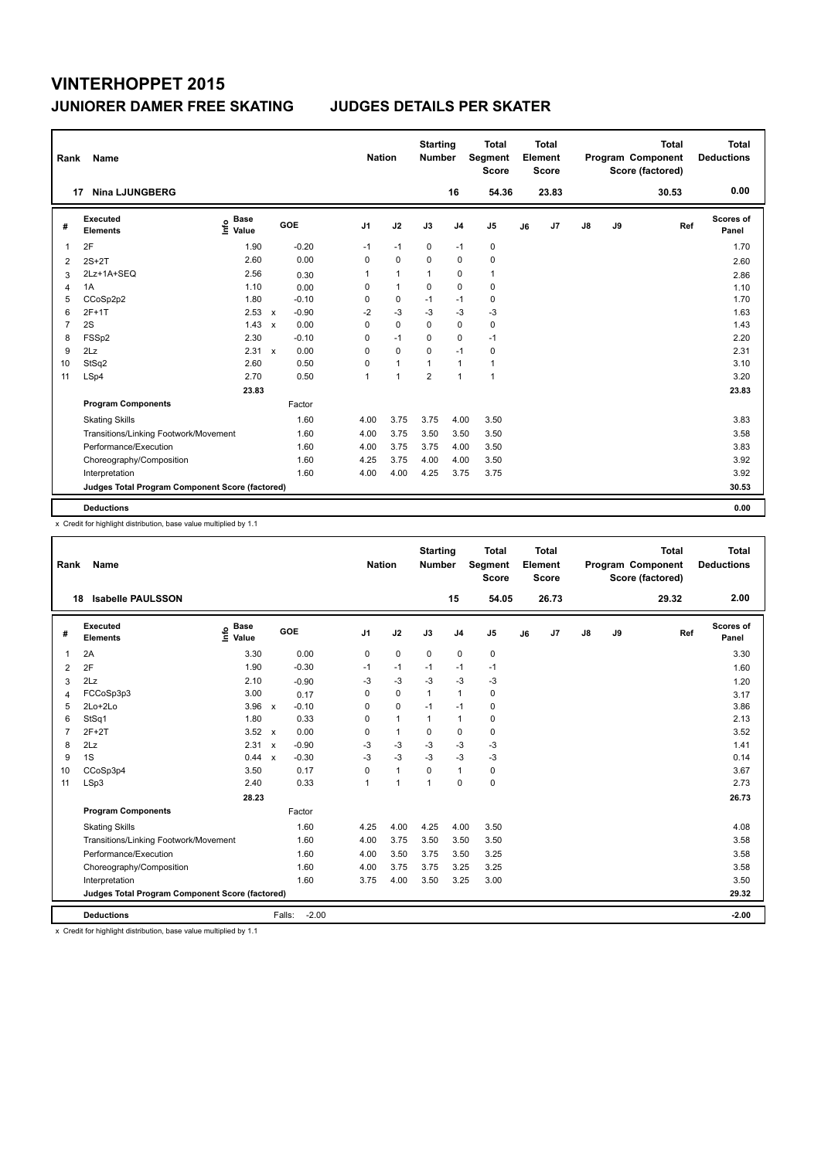| Rank           | Name                                            |                              |                           |         |                | <b>Nation</b> |                | <b>Starting</b><br><b>Number</b> |                | Total<br>Segment<br><b>Score</b> |    | <b>Total</b><br>Element<br><b>Score</b> |               |    | <b>Total</b><br>Program Component<br>Score (factored) | Total<br><b>Deductions</b> |
|----------------|-------------------------------------------------|------------------------------|---------------------------|---------|----------------|---------------|----------------|----------------------------------|----------------|----------------------------------|----|-----------------------------------------|---------------|----|-------------------------------------------------------|----------------------------|
|                | <b>Nina LJUNGBERG</b><br>17                     |                              |                           |         |                |               |                |                                  | 16             | 54.36                            |    | 23.83                                   |               |    | 30.53                                                 | 0.00                       |
| #              | <b>Executed</b><br><b>Elements</b>              | <b>Base</b><br>١nf٥<br>Value |                           | GOE     | J <sub>1</sub> |               | J2             | J3                               | J <sub>4</sub> | J <sub>5</sub>                   | J6 | J7                                      | $\mathsf{J}8$ | J9 | Ref                                                   | <b>Scores of</b><br>Panel  |
| 1              | 2F                                              | 1.90                         |                           | $-0.20$ | $-1$           |               | $-1$           | 0                                | $-1$           | 0                                |    |                                         |               |    |                                                       | 1.70                       |
| 2              | $2S+2T$                                         | 2.60                         |                           | 0.00    | $\Omega$       |               | $\mathbf 0$    | $\Omega$                         | $\mathbf 0$    | $\mathbf 0$                      |    |                                         |               |    |                                                       | 2.60                       |
| 3              | 2Lz+1A+SEQ                                      | 2.56                         |                           | 0.30    | 1              |               | $\mathbf{1}$   | $\mathbf{1}$                     | 0              | $\mathbf{1}$                     |    |                                         |               |    |                                                       | 2.86                       |
| 4              | 1A                                              | 1.10                         |                           | 0.00    | 0              |               | $\overline{1}$ | $\mathbf 0$                      | $\mathbf 0$    | 0                                |    |                                         |               |    |                                                       | 1.10                       |
| 5              | CCoSp2p2                                        | 1.80                         |                           | $-0.10$ | 0              |               | 0              | $-1$                             | $-1$           | 0                                |    |                                         |               |    |                                                       | 1.70                       |
| 6              | $2F+1T$                                         | 2.53                         | $\mathsf{x}$              | $-0.90$ | $-2$           |               | $-3$           | $-3$                             | $-3$           | $-3$                             |    |                                         |               |    |                                                       | 1.63                       |
| $\overline{7}$ | 2S                                              | 1.43                         | $\boldsymbol{\mathsf{x}}$ | 0.00    | 0              |               | $\mathbf 0$    | $\mathbf 0$                      | $\pmb{0}$      | 0                                |    |                                         |               |    |                                                       | 1.43                       |
| 8              | FSSp2                                           | 2.30                         |                           | $-0.10$ | 0              |               | $-1$           | 0                                | $\mathbf 0$    | $-1$                             |    |                                         |               |    |                                                       | 2.20                       |
| 9              | 2Lz                                             | 2.31                         | $\mathsf{x}$              | 0.00    | 0              |               | $\mathbf 0$    | $\Omega$                         | $-1$           | $\mathbf 0$                      |    |                                         |               |    |                                                       | 2.31                       |
| 10             | StSq2                                           | 2.60                         |                           | 0.50    | 0              |               | $\overline{1}$ | $\overline{1}$                   | $\mathbf{1}$   | $\mathbf{1}$                     |    |                                         |               |    |                                                       | 3.10                       |
| 11             | LSp4                                            | 2.70                         |                           | 0.50    | 1              |               | $\overline{1}$ | $\overline{2}$                   | $\mathbf{1}$   | $\mathbf{1}$                     |    |                                         |               |    |                                                       | 3.20                       |
|                |                                                 | 23.83                        |                           |         |                |               |                |                                  |                |                                  |    |                                         |               |    |                                                       | 23.83                      |
|                | <b>Program Components</b>                       |                              |                           | Factor  |                |               |                |                                  |                |                                  |    |                                         |               |    |                                                       |                            |
|                | <b>Skating Skills</b>                           |                              |                           | 1.60    | 4.00           |               | 3.75           | 3.75                             | 4.00           | 3.50                             |    |                                         |               |    |                                                       | 3.83                       |
|                | Transitions/Linking Footwork/Movement           |                              |                           | 1.60    | 4.00           |               | 3.75           | 3.50                             | 3.50           | 3.50                             |    |                                         |               |    |                                                       | 3.58                       |
|                | Performance/Execution                           |                              |                           | 1.60    | 4.00           |               | 3.75           | 3.75                             | 4.00           | 3.50                             |    |                                         |               |    |                                                       | 3.83                       |
|                | Choreography/Composition                        |                              |                           | 1.60    | 4.25           |               | 3.75           | 4.00                             | 4.00           | 3.50                             |    |                                         |               |    |                                                       | 3.92                       |
|                | Interpretation                                  |                              |                           | 1.60    | 4.00           |               | 4.00           | 4.25                             | 3.75           | 3.75                             |    |                                         |               |    |                                                       | 3.92                       |
|                | Judges Total Program Component Score (factored) |                              |                           |         |                |               |                |                                  |                |                                  |    |                                         |               |    |                                                       | 30.53                      |
|                | <b>Deductions</b>                               |                              |                           |         |                |               |                |                                  |                |                                  |    |                                         |               |    |                                                       | 0.00                       |

x Credit for highlight distribution, base value multiplied by 1.1

| Rank | Name                                            |                              |                         |                | <b>Nation</b> | <b>Starting</b><br><b>Number</b> |                | <b>Total</b><br>Segment<br><b>Score</b> |    | <b>Total</b><br>Element<br><b>Score</b> |               |    | <b>Total</b><br>Program Component<br>Score (factored) | <b>Total</b><br><b>Deductions</b> |
|------|-------------------------------------------------|------------------------------|-------------------------|----------------|---------------|----------------------------------|----------------|-----------------------------------------|----|-----------------------------------------|---------------|----|-------------------------------------------------------|-----------------------------------|
| 18   | <b>Isabelle PAULSSON</b>                        |                              |                         |                |               |                                  | 15             | 54.05                                   |    | 26.73                                   |               |    | 29.32                                                 | 2.00                              |
| #    | Executed<br><b>Elements</b>                     | <b>Base</b><br>١nfo<br>Value | <b>GOE</b>              | J <sub>1</sub> | J2            | J3                               | J <sub>4</sub> | J5                                      | J6 | J7                                      | $\mathsf{J}8$ | J9 | Ref                                                   | Scores of<br>Panel                |
| 1    | 2A                                              | 3.30                         | 0.00                    | 0              | 0             | 0                                | $\mathbf 0$    | 0                                       |    |                                         |               |    |                                                       | 3.30                              |
| 2    | 2F                                              | 1.90                         | $-0.30$                 | $-1$           | $-1$          | $-1$                             | $-1$           | $-1$                                    |    |                                         |               |    |                                                       | 1.60                              |
| 3    | 2Lz                                             | 2.10                         | $-0.90$                 | $-3$           | $-3$          | $-3$                             | $-3$           | $-3$                                    |    |                                         |               |    |                                                       | 1.20                              |
| 4    | FCCoSp3p3                                       | 3.00                         | 0.17                    | 0              | 0             | 1                                | $\mathbf{1}$   | 0                                       |    |                                         |               |    |                                                       | 3.17                              |
| 5    | $2Lo+2Lo$                                       | $3.96 \times$                | $-0.10$                 | 0              | 0             | $-1$                             | $-1$           | 0                                       |    |                                         |               |    |                                                       | 3.86                              |
| 6    | StSq1                                           | 1.80                         | 0.33                    | 0              | $\mathbf{1}$  | 1                                | $\mathbf{1}$   | 0                                       |    |                                         |               |    |                                                       | 2.13                              |
| 7    | $2F+2T$                                         | $3.52 \times$                | 0.00                    | 0              | $\mathbf{1}$  | $\Omega$                         | $\mathbf 0$    | 0                                       |    |                                         |               |    |                                                       | 3.52                              |
| 8    | 2Lz                                             | 2.31                         | $-0.90$<br>$\mathsf{x}$ | $-3$           | $-3$          | $-3$                             | $-3$           | $-3$                                    |    |                                         |               |    |                                                       | 1.41                              |
| 9    | 1S                                              | 0.44 x                       | $-0.30$                 | $-3$           | $-3$          | $-3$                             | $-3$           | $-3$                                    |    |                                         |               |    |                                                       | 0.14                              |
| 10   | CCoSp3p4                                        | 3.50                         | 0.17                    | $\Omega$       | $\mathbf{1}$  | $\Omega$                         | $\mathbf{1}$   | 0                                       |    |                                         |               |    |                                                       | 3.67                              |
| 11   | LSp3                                            | 2.40                         | 0.33                    | $\overline{1}$ | $\mathbf{1}$  | $\overline{1}$                   | $\Omega$       | 0                                       |    |                                         |               |    |                                                       | 2.73                              |
|      |                                                 | 28.23                        |                         |                |               |                                  |                |                                         |    |                                         |               |    |                                                       | 26.73                             |
|      | <b>Program Components</b>                       |                              | Factor                  |                |               |                                  |                |                                         |    |                                         |               |    |                                                       |                                   |
|      | <b>Skating Skills</b>                           |                              | 1.60                    | 4.25           | 4.00          | 4.25                             | 4.00           | 3.50                                    |    |                                         |               |    |                                                       | 4.08                              |
|      | Transitions/Linking Footwork/Movement           |                              | 1.60                    | 4.00           | 3.75          | 3.50                             | 3.50           | 3.50                                    |    |                                         |               |    |                                                       | 3.58                              |
|      | Performance/Execution                           |                              | 1.60                    | 4.00           | 3.50          | 3.75                             | 3.50           | 3.25                                    |    |                                         |               |    |                                                       | 3.58                              |
|      | Choreography/Composition                        |                              | 1.60                    | 4.00           | 3.75          | 3.75                             | 3.25           | 3.25                                    |    |                                         |               |    |                                                       | 3.58                              |
|      | Interpretation                                  |                              | 1.60                    | 3.75           | 4.00          | 3.50                             | 3.25           | 3.00                                    |    |                                         |               |    |                                                       | 3.50                              |
|      | Judges Total Program Component Score (factored) |                              |                         |                |               |                                  |                |                                         |    |                                         |               |    |                                                       | 29.32                             |
|      | <b>Deductions</b>                               |                              | Falls:                  | $-2.00$        |               |                                  |                |                                         |    |                                         |               |    |                                                       | $-2.00$                           |

x Credit for highlight distribution, base value multiplied by 1.1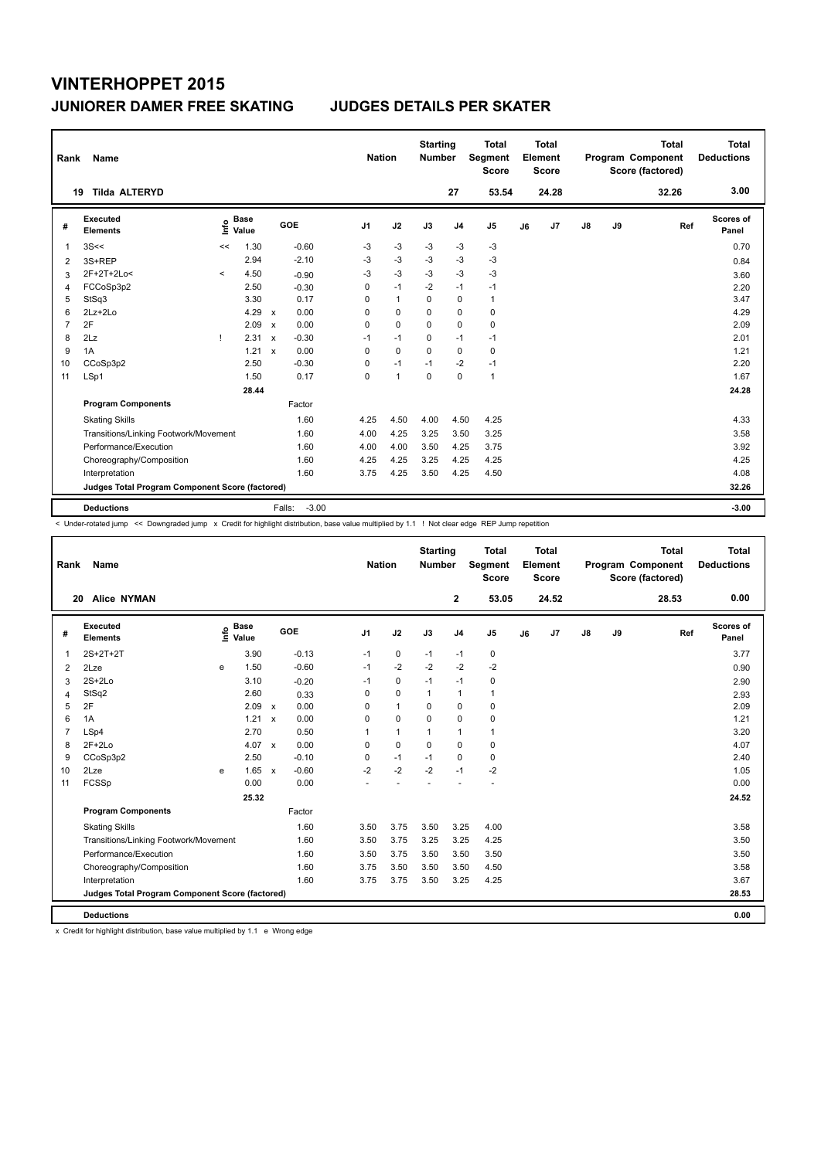| Rank           | Name                                            |              |                      |                           |                   | <b>Nation</b>  |                | <b>Starting</b><br><b>Number</b> |                | Total<br>Segment<br><b>Score</b> |    | <b>Total</b><br>Element<br><b>Score</b> |               |    | <b>Total</b><br>Program Component<br>Score (factored) | <b>Total</b><br><b>Deductions</b> |
|----------------|-------------------------------------------------|--------------|----------------------|---------------------------|-------------------|----------------|----------------|----------------------------------|----------------|----------------------------------|----|-----------------------------------------|---------------|----|-------------------------------------------------------|-----------------------------------|
|                | <b>Tilda ALTERYD</b><br>19                      |              |                      |                           |                   |                |                |                                  | 27             | 53.54                            |    | 24.28                                   |               |    | 32.26                                                 | 3.00                              |
| #              | Executed<br><b>Elements</b>                     | ١m           | <b>Base</b><br>Value |                           | GOE               | J <sub>1</sub> | J2             | J3                               | J <sub>4</sub> | J <sub>5</sub>                   | J6 | J7                                      | $\mathsf{J}8$ | J9 | Ref                                                   | Scores of<br>Panel                |
| 1              | 3S<<                                            | <<           | 1.30                 |                           | $-0.60$           | -3             | $-3$           | $-3$                             | $-3$           | $-3$                             |    |                                         |               |    |                                                       | 0.70                              |
| 2              | 3S+REP                                          |              | 2.94                 |                           | $-2.10$           | $-3$           | $-3$           | $-3$                             | $-3$           | $-3$                             |    |                                         |               |    |                                                       | 0.84                              |
| 3              | 2F+2T+2Lo<                                      | $\prec$      | 4.50                 |                           | $-0.90$           | -3             | $-3$           | -3                               | -3             | $-3$                             |    |                                         |               |    |                                                       | 3.60                              |
| 4              | FCCoSp3p2                                       |              | 2.50                 |                           | $-0.30$           | 0              | $-1$           | $-2$                             | $-1$           | $-1$                             |    |                                         |               |    |                                                       | 2.20                              |
| 5              | StSq3                                           |              | 3.30                 |                           | 0.17              | 0              | $\mathbf{1}$   | 0                                | 0              | $\mathbf{1}$                     |    |                                         |               |    |                                                       | 3.47                              |
| 6              | $2Lz+2Lo$                                       |              | 4.29                 | $\mathsf{x}$              | 0.00              | 0              | $\mathbf 0$    | $\Omega$                         | $\mathbf 0$    | 0                                |    |                                         |               |    |                                                       | 4.29                              |
| $\overline{7}$ | 2F                                              |              | 2.09                 | $\boldsymbol{\mathsf{x}}$ | 0.00              | 0              | $\mathbf 0$    | $\Omega$                         | $\mathbf 0$    | 0                                |    |                                         |               |    |                                                       | 2.09                              |
| 8              | 2Lz                                             | $\mathbf{I}$ | 2.31                 | $\mathsf{x}$              | $-0.30$           | $-1$           | $-1$           | $\Omega$                         | $-1$           | $-1$                             |    |                                         |               |    |                                                       | 2.01                              |
| 9              | 1A                                              |              | 1.21                 | $\mathbf{x}$              | 0.00              | 0              | 0              | $\Omega$                         | 0              | 0                                |    |                                         |               |    |                                                       | 1.21                              |
| 10             | CCoSp3p2                                        |              | 2.50                 |                           | $-0.30$           | 0              | $-1$           | $-1$                             | $-2$           | $-1$                             |    |                                         |               |    |                                                       | 2.20                              |
| 11             | LSp1                                            |              | 1.50                 |                           | 0.17              | $\Omega$       | $\overline{1}$ | $\mathbf 0$                      | $\mathbf 0$    | $\mathbf{1}$                     |    |                                         |               |    |                                                       | 1.67                              |
|                |                                                 |              | 28.44                |                           |                   |                |                |                                  |                |                                  |    |                                         |               |    |                                                       | 24.28                             |
|                | <b>Program Components</b>                       |              |                      |                           | Factor            |                |                |                                  |                |                                  |    |                                         |               |    |                                                       |                                   |
|                | <b>Skating Skills</b>                           |              |                      |                           | 1.60              | 4.25           | 4.50           | 4.00                             | 4.50           | 4.25                             |    |                                         |               |    |                                                       | 4.33                              |
|                | Transitions/Linking Footwork/Movement           |              |                      |                           | 1.60              | 4.00           | 4.25           | 3.25                             | 3.50           | 3.25                             |    |                                         |               |    |                                                       | 3.58                              |
|                | Performance/Execution                           |              |                      |                           | 1.60              | 4.00           | 4.00           | 3.50                             | 4.25           | 3.75                             |    |                                         |               |    |                                                       | 3.92                              |
|                | Choreography/Composition                        |              |                      |                           | 1.60              | 4.25           | 4.25           | 3.25                             | 4.25           | 4.25                             |    |                                         |               |    |                                                       | 4.25                              |
|                | Interpretation                                  |              |                      |                           | 1.60              | 3.75           | 4.25           | 3.50                             | 4.25           | 4.50                             |    |                                         |               |    |                                                       | 4.08                              |
|                | Judges Total Program Component Score (factored) |              |                      |                           |                   |                |                |                                  |                |                                  |    |                                         |               |    |                                                       | 32.26                             |
|                | <b>Deductions</b>                               |              |                      |                           | $-3.00$<br>Falls: |                |                |                                  |                |                                  |    |                                         |               |    |                                                       | $-3.00$                           |

< Under-rotated jump << Downgraded jump x Credit for highlight distribution, base value multiplied by 1.1 ! Not clear edge REP Jump repetition

| Rank           | Name                                            |      |                      |                           |         | <b>Nation</b>  |                | <b>Starting</b><br><b>Number</b> |                | <b>Total</b><br><b>Segment</b><br><b>Score</b> |    | <b>Total</b><br>Element<br><b>Score</b> |    |    | <b>Total</b><br>Program Component<br>Score (factored) | <b>Total</b><br><b>Deductions</b> |
|----------------|-------------------------------------------------|------|----------------------|---------------------------|---------|----------------|----------------|----------------------------------|----------------|------------------------------------------------|----|-----------------------------------------|----|----|-------------------------------------------------------|-----------------------------------|
|                | <b>Alice NYMAN</b><br>20                        |      |                      |                           |         |                |                |                                  | $\mathbf{2}$   | 53.05                                          |    | 24.52                                   |    |    | 28.53                                                 | 0.00                              |
| #              | Executed<br><b>Elements</b>                     | lnfo | <b>Base</b><br>Value |                           | GOE     | J <sub>1</sub> | J2             | J3                               | J <sub>4</sub> | J <sub>5</sub>                                 | J6 | J <sub>7</sub>                          | J8 | J9 | Ref                                                   | Scores of<br>Panel                |
| 1              | 2S+2T+2T                                        |      | 3.90                 |                           | $-0.13$ | $-1$           | $\mathbf 0$    | $-1$                             | $-1$           | 0                                              |    |                                         |    |    |                                                       | 3.77                              |
| 2              | 2Lze                                            | e    | 1.50                 |                           | $-0.60$ | $-1$           | $-2$           | $-2$                             | $-2$           | $-2$                                           |    |                                         |    |    |                                                       | 0.90                              |
| 3              | $2S+2Lo$                                        |      | 3.10                 |                           | $-0.20$ | $-1$           | $\mathbf 0$    | $-1$                             | $-1$           | $\mathbf 0$                                    |    |                                         |    |    |                                                       | 2.90                              |
| 4              | StSq2                                           |      | 2.60                 |                           | 0.33    | 0              | $\mathbf 0$    | $\mathbf{1}$                     | $\mathbf{1}$   | $\mathbf{1}$                                   |    |                                         |    |    |                                                       | 2.93                              |
| 5              | 2F                                              |      | 2.09                 | $\boldsymbol{\mathsf{x}}$ | 0.00    | 0              | $\mathbf{1}$   | 0                                | 0              | 0                                              |    |                                         |    |    |                                                       | 2.09                              |
| 6              | 1A                                              |      | 1.21                 | $\mathsf{x}$              | 0.00    | 0              | $\mathbf 0$    | $\mathbf 0$                      | $\mathbf 0$    | 0                                              |    |                                         |    |    |                                                       | 1.21                              |
| $\overline{7}$ | LSp4                                            |      | 2.70                 |                           | 0.50    | 1              | $\overline{1}$ | 1                                | $\mathbf{1}$   | $\mathbf{1}$                                   |    |                                         |    |    |                                                       | 3.20                              |
| 8              | $2F+2Lo$                                        |      | 4.07                 | $\mathbf{x}$              | 0.00    | 0              | $\mathbf 0$    | $\Omega$                         | $\mathbf 0$    | 0                                              |    |                                         |    |    |                                                       | 4.07                              |
| 9              | CCoSp3p2                                        |      | 2.50                 |                           | $-0.10$ | 0              | $-1$           | $-1$                             | 0              | 0                                              |    |                                         |    |    |                                                       | 2.40                              |
| 10             | 2Lze                                            | e    | $1.65 \times$        |                           | $-0.60$ | $-2$           | $-2$           | $-2$                             | $-1$           | $-2$                                           |    |                                         |    |    |                                                       | 1.05                              |
| 11             | FCSSp                                           |      | 0.00                 |                           | 0.00    |                |                |                                  |                |                                                |    |                                         |    |    |                                                       | 0.00                              |
|                |                                                 |      | 25.32                |                           |         |                |                |                                  |                |                                                |    |                                         |    |    |                                                       | 24.52                             |
|                | <b>Program Components</b>                       |      |                      |                           | Factor  |                |                |                                  |                |                                                |    |                                         |    |    |                                                       |                                   |
|                | <b>Skating Skills</b>                           |      |                      |                           | 1.60    | 3.50           | 3.75           | 3.50                             | 3.25           | 4.00                                           |    |                                         |    |    |                                                       | 3.58                              |
|                | Transitions/Linking Footwork/Movement           |      |                      |                           | 1.60    | 3.50           | 3.75           | 3.25                             | 3.25           | 4.25                                           |    |                                         |    |    |                                                       | 3.50                              |
|                | Performance/Execution                           |      |                      |                           | 1.60    | 3.50           | 3.75           | 3.50                             | 3.50           | 3.50                                           |    |                                         |    |    |                                                       | 3.50                              |
|                | Choreography/Composition                        |      |                      |                           | 1.60    | 3.75           | 3.50           | 3.50                             | 3.50           | 4.50                                           |    |                                         |    |    |                                                       | 3.58                              |
|                | Interpretation                                  |      |                      |                           | 1.60    | 3.75           | 3.75           | 3.50                             | 3.25           | 4.25                                           |    |                                         |    |    |                                                       | 3.67                              |
|                | Judges Total Program Component Score (factored) |      |                      |                           |         |                |                |                                  |                |                                                |    |                                         |    |    |                                                       | 28.53                             |
|                | <b>Deductions</b>                               |      |                      |                           |         |                |                |                                  |                |                                                |    |                                         |    |    |                                                       | 0.00                              |

x Credit for highlight distribution, base value multiplied by 1.1 e Wrong edge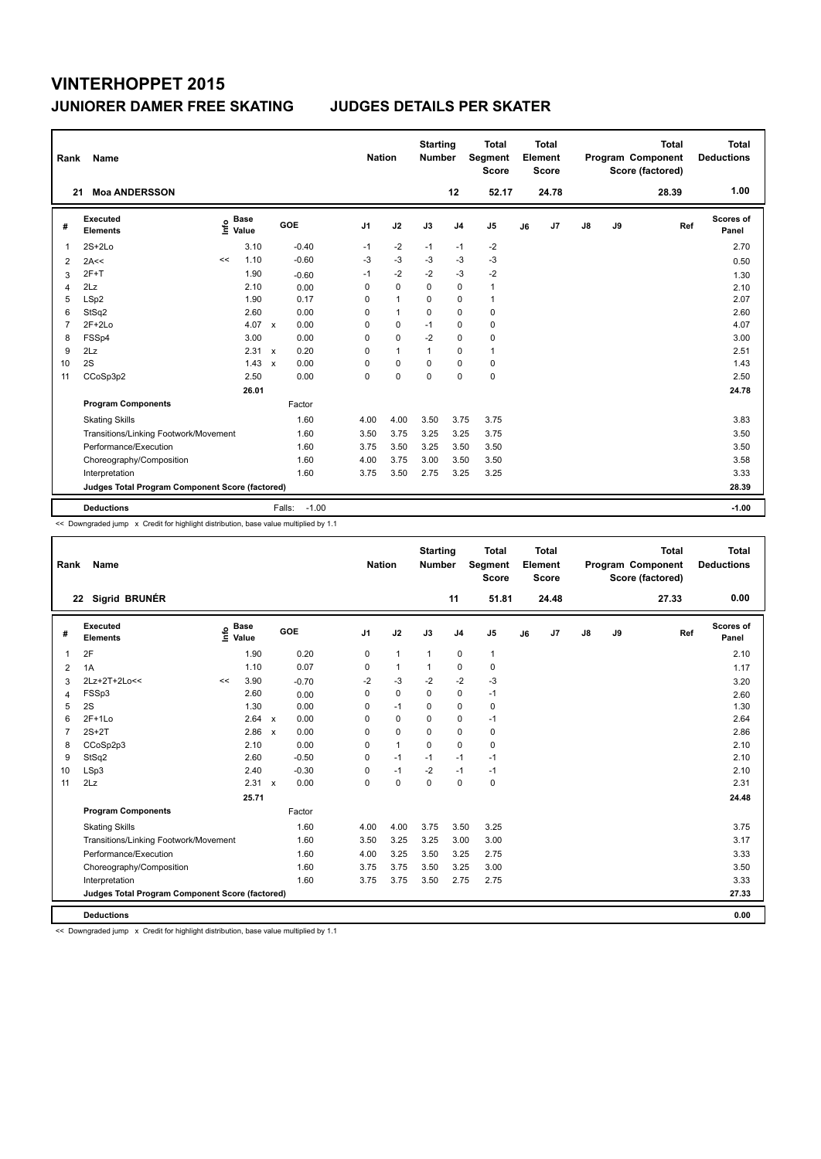| Rank           | Name                                            |                              |               |                      |                | <b>Nation</b>  | <b>Starting</b><br><b>Number</b> |                | <b>Total</b><br>Segment<br><b>Score</b> |    | Total<br>Element<br><b>Score</b> |               |    | <b>Total</b><br>Program Component<br>Score (factored) | Total<br><b>Deductions</b> |
|----------------|-------------------------------------------------|------------------------------|---------------|----------------------|----------------|----------------|----------------------------------|----------------|-----------------------------------------|----|----------------------------------|---------------|----|-------------------------------------------------------|----------------------------|
| 21             | <b>Moa ANDERSSON</b>                            |                              |               |                      |                |                |                                  | 12             | 52.17                                   |    | 24.78                            |               |    | 28.39                                                 | 1.00                       |
| #              | Executed<br><b>Elements</b>                     | <b>Base</b><br>١nf٥<br>Value |               | GOE                  | J <sub>1</sub> | J2             | J3                               | J <sub>4</sub> | J <sub>5</sub>                          | J6 | J7                               | $\mathsf{J}8$ | J9 | Ref                                                   | Scores of<br>Panel         |
| 1              | $2S+2Lo$                                        |                              | 3.10          | $-0.40$              | $-1$           | $-2$           | $-1$                             | -1             | $-2$                                    |    |                                  |               |    |                                                       | 2.70                       |
| 2              | 2A<<                                            | <<                           | 1.10          | $-0.60$              | $-3$           | $-3$           | $-3$                             | $-3$           | $-3$                                    |    |                                  |               |    |                                                       | 0.50                       |
| 3              | $2F+T$                                          |                              | 1.90          | $-0.60$              | $-1$           | $-2$           | $-2$                             | $-3$           | $-2$                                    |    |                                  |               |    |                                                       | 1.30                       |
| 4              | 2Lz                                             |                              | 2.10          | 0.00                 | 0              | $\mathbf 0$    | $\Omega$                         | $\mathbf 0$    | $\mathbf{1}$                            |    |                                  |               |    |                                                       | 2.10                       |
| 5              | LSp2                                            |                              | 1.90          | 0.17                 | 0              | $\mathbf{1}$   | 0                                | 0              | $\mathbf{1}$                            |    |                                  |               |    |                                                       | 2.07                       |
| 6              | StSq2                                           |                              | 2.60          | 0.00                 | 0              | $\overline{1}$ | $\Omega$                         | $\Omega$       | $\mathbf 0$                             |    |                                  |               |    |                                                       | 2.60                       |
| $\overline{7}$ | $2F+2Lo$                                        |                              | 4.07          | 0.00<br>$\mathbf{x}$ | 0              | 0              | $-1$                             | 0              | 0                                       |    |                                  |               |    |                                                       | 4.07                       |
| 8              | FSSp4                                           |                              | 3.00          | 0.00                 | 0              | $\mathbf 0$    | $-2$                             | $\mathbf 0$    | 0                                       |    |                                  |               |    |                                                       | 3.00                       |
| 9              | 2Lz                                             |                              | $2.31 \times$ | 0.20                 | 0              | $\mathbf{1}$   | $\mathbf{1}$                     | 0              | $\mathbf{1}$                            |    |                                  |               |    |                                                       | 2.51                       |
| 10             | 2S                                              |                              | 1.43          | 0.00<br>$\mathsf{x}$ | 0              | 0              | 0                                | 0              | 0                                       |    |                                  |               |    |                                                       | 1.43                       |
| 11             | CCoSp3p2                                        |                              | 2.50          | 0.00                 | 0              | $\mathbf 0$    | $\mathbf 0$                      | $\mathbf 0$    | $\mathbf 0$                             |    |                                  |               |    |                                                       | 2.50                       |
|                |                                                 |                              | 26.01         |                      |                |                |                                  |                |                                         |    |                                  |               |    |                                                       | 24.78                      |
|                | <b>Program Components</b>                       |                              |               | Factor               |                |                |                                  |                |                                         |    |                                  |               |    |                                                       |                            |
|                | <b>Skating Skills</b>                           |                              |               | 1.60                 | 4.00           | 4.00           | 3.50                             | 3.75           | 3.75                                    |    |                                  |               |    |                                                       | 3.83                       |
|                | Transitions/Linking Footwork/Movement           |                              |               | 1.60                 | 3.50           | 3.75           | 3.25                             | 3.25           | 3.75                                    |    |                                  |               |    |                                                       | 3.50                       |
|                | Performance/Execution                           |                              |               | 1.60                 | 3.75           | 3.50           | 3.25                             | 3.50           | 3.50                                    |    |                                  |               |    |                                                       | 3.50                       |
|                | Choreography/Composition                        |                              |               | 1.60                 | 4.00           | 3.75           | 3.00                             | 3.50           | 3.50                                    |    |                                  |               |    |                                                       | 3.58                       |
|                | Interpretation                                  |                              |               | 1.60                 | 3.75           | 3.50           | 2.75                             | 3.25           | 3.25                                    |    |                                  |               |    |                                                       | 3.33                       |
|                | Judges Total Program Component Score (factored) |                              |               |                      |                |                |                                  |                |                                         |    |                                  |               |    |                                                       | 28.39                      |
|                | <b>Deductions</b>                               |                              |               | Falls:               | $-1.00$        |                |                                  |                |                                         |    |                                  |               |    |                                                       | $-1.00$                    |

<< Downgraded jump x Credit for highlight distribution, base value multiplied by 1.1

| Rank           | <b>Name</b>                                     |      |                      |                           |         | <b>Nation</b>  |              | <b>Starting</b><br><b>Number</b> |                | <b>Total</b><br>Segment<br><b>Score</b> |    | Total<br>Element<br><b>Score</b> |               |    | <b>Total</b><br>Program Component<br>Score (factored) | Total<br><b>Deductions</b> |
|----------------|-------------------------------------------------|------|----------------------|---------------------------|---------|----------------|--------------|----------------------------------|----------------|-----------------------------------------|----|----------------------------------|---------------|----|-------------------------------------------------------|----------------------------|
|                | 22 Sigrid BRUNÉR                                |      |                      |                           |         |                |              |                                  | 11             | 51.81                                   |    | 24.48                            |               |    | 27.33                                                 | 0.00                       |
| #              | Executed<br><b>Elements</b>                     | Info | <b>Base</b><br>Value |                           | GOE     | J <sub>1</sub> | J2           | J3                               | J <sub>4</sub> | J <sub>5</sub>                          | J6 | J <sub>7</sub>                   | $\mathsf{J}8$ | J9 | Ref                                                   | Scores of<br>Panel         |
| $\mathbf{1}$   | 2F                                              |      | 1.90                 |                           | 0.20    | 0              | $\mathbf{1}$ | $\mathbf{1}$                     | $\pmb{0}$      | $\mathbf{1}$                            |    |                                  |               |    |                                                       | 2.10                       |
| 2              | 1A                                              |      | 1.10                 |                           | 0.07    | $\Omega$       | $\mathbf{1}$ | $\mathbf{1}$                     | $\mathbf 0$    | $\mathbf 0$                             |    |                                  |               |    |                                                       | 1.17                       |
| 3              | 2Lz+2T+2Lo<<                                    | <<   | 3.90                 |                           | $-0.70$ | $-2$           | $-3$         | $-2$                             | $-2$           | $-3$                                    |    |                                  |               |    |                                                       | 3.20                       |
| 4              | FSSp3                                           |      | 2.60                 |                           | 0.00    | $\mathbf 0$    | $\mathbf 0$  | $\Omega$                         | $\mathbf 0$    | $-1$                                    |    |                                  |               |    |                                                       | 2.60                       |
| 5              | 2S                                              |      | 1.30                 |                           | 0.00    | 0              | $-1$         | $\mathbf 0$                      | $\mathbf 0$    | 0                                       |    |                                  |               |    |                                                       | 1.30                       |
| 6              | $2F+1Lo$                                        |      | 2.64 x               |                           | 0.00    | 0              | $\mathbf 0$  | $\Omega$                         | $\mathbf 0$    | $-1$                                    |    |                                  |               |    |                                                       | 2.64                       |
| $\overline{7}$ | $2S+2T$                                         |      | 2.86                 | $\mathsf{x}$              | 0.00    | 0              | $\mathbf 0$  | $\mathbf 0$                      | $\mathbf 0$    | 0                                       |    |                                  |               |    |                                                       | 2.86                       |
| 8              | CCoSp2p3                                        |      | 2.10                 |                           | 0.00    | $\Omega$       | $\mathbf{1}$ | $\Omega$                         | $\Omega$       | $\mathbf 0$                             |    |                                  |               |    |                                                       | 2.10                       |
| 9              | StSq2                                           |      | 2.60                 |                           | $-0.50$ | 0              | $-1$         | $-1$                             | $-1$           | $-1$                                    |    |                                  |               |    |                                                       | 2.10                       |
| 10             | LSp3                                            |      | 2.40                 |                           | $-0.30$ | 0              | $-1$         | $-2$                             | $-1$           | $-1$                                    |    |                                  |               |    |                                                       | 2.10                       |
| 11             | 2Lz                                             |      | 2.31                 | $\boldsymbol{\mathsf{x}}$ | 0.00    | $\mathbf 0$    | $\mathbf 0$  | $\mathbf 0$                      | $\mathbf 0$    | 0                                       |    |                                  |               |    |                                                       | 2.31                       |
|                |                                                 |      | 25.71                |                           |         |                |              |                                  |                |                                         |    |                                  |               |    |                                                       | 24.48                      |
|                | <b>Program Components</b>                       |      |                      |                           | Factor  |                |              |                                  |                |                                         |    |                                  |               |    |                                                       |                            |
|                | <b>Skating Skills</b>                           |      |                      |                           | 1.60    | 4.00           | 4.00         | 3.75                             | 3.50           | 3.25                                    |    |                                  |               |    |                                                       | 3.75                       |
|                | Transitions/Linking Footwork/Movement           |      |                      |                           | 1.60    | 3.50           | 3.25         | 3.25                             | 3.00           | 3.00                                    |    |                                  |               |    |                                                       | 3.17                       |
|                | Performance/Execution                           |      |                      |                           | 1.60    | 4.00           | 3.25         | 3.50                             | 3.25           | 2.75                                    |    |                                  |               |    |                                                       | 3.33                       |
|                | Choreography/Composition                        |      |                      |                           | 1.60    | 3.75           | 3.75         | 3.50                             | 3.25           | 3.00                                    |    |                                  |               |    |                                                       | 3.50                       |
|                | Interpretation                                  |      |                      |                           | 1.60    | 3.75           | 3.75         | 3.50                             | 2.75           | 2.75                                    |    |                                  |               |    |                                                       | 3.33                       |
|                | Judges Total Program Component Score (factored) |      |                      |                           |         |                |              |                                  |                |                                         |    |                                  |               |    |                                                       | 27.33                      |
|                | <b>Deductions</b>                               |      |                      |                           |         |                |              |                                  |                |                                         |    |                                  |               |    |                                                       | 0.00                       |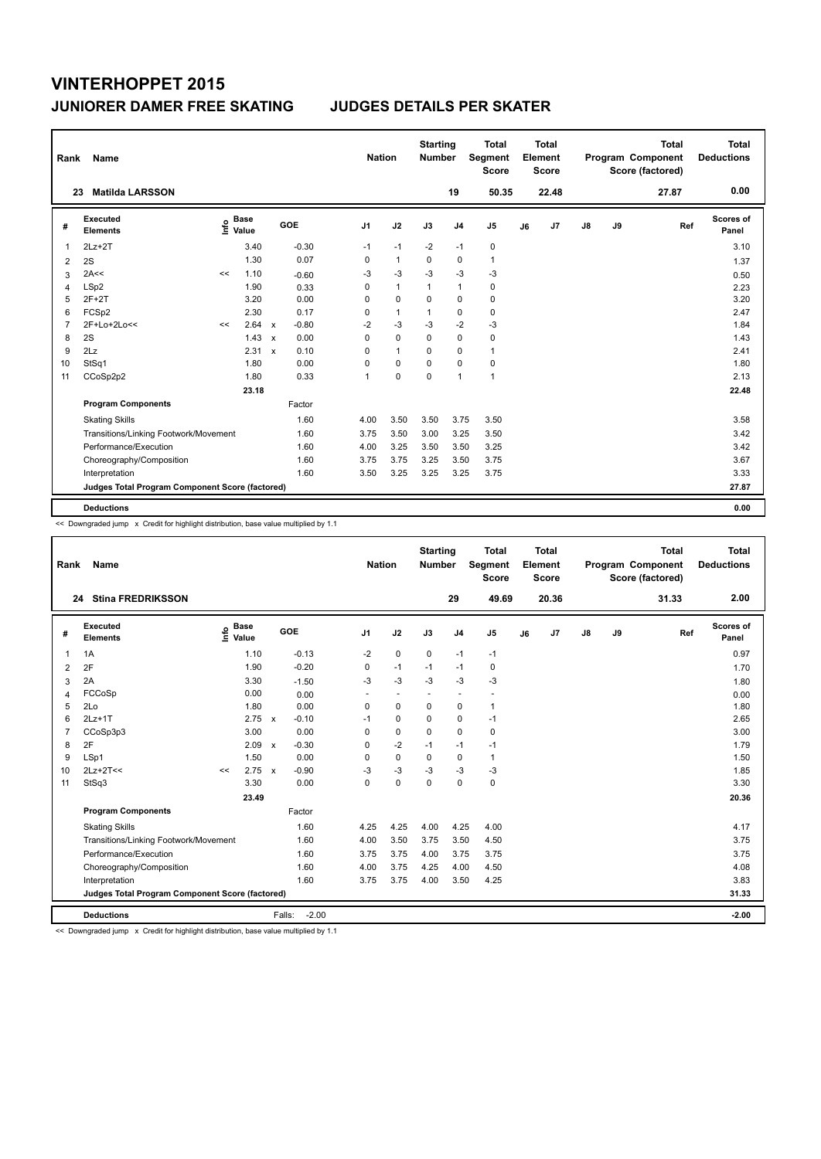| Rank           | Name                                            |      |                      |                           |         | <b>Nation</b>  |              | <b>Starting</b><br><b>Number</b> |                | Total<br>Segment<br><b>Score</b> |    | <b>Total</b><br>Element<br><b>Score</b> |               |    | <b>Total</b><br>Program Component<br>Score (factored) | <b>Total</b><br><b>Deductions</b> |
|----------------|-------------------------------------------------|------|----------------------|---------------------------|---------|----------------|--------------|----------------------------------|----------------|----------------------------------|----|-----------------------------------------|---------------|----|-------------------------------------------------------|-----------------------------------|
|                | <b>Matilda LARSSON</b><br>23                    |      |                      |                           |         |                |              |                                  | 19             | 50.35                            |    | 22.48                                   |               |    | 27.87                                                 | 0.00                              |
| #              | Executed<br><b>Elements</b>                     | ١nfo | <b>Base</b><br>Value |                           | GOE     | J <sub>1</sub> | J2           | J3                               | J <sub>4</sub> | J <sub>5</sub>                   | J6 | J7                                      | $\mathsf{J}8$ | J9 | Ref                                                   | Scores of<br>Panel                |
| 1              | $2Lz+2T$                                        |      | 3.40                 |                           | $-0.30$ | $-1$           | $-1$         | $-2$                             | $-1$           | 0                                |    |                                         |               |    |                                                       | 3.10                              |
| 2              | 2S                                              |      | 1.30                 |                           | 0.07    | 0              | $\mathbf{1}$ | $\Omega$                         | $\mathbf 0$    | $\mathbf{1}$                     |    |                                         |               |    |                                                       | 1.37                              |
| 3              | 2A<<                                            | <<   | 1.10                 |                           | $-0.60$ | -3             | $-3$         | $-3$                             | -3             | $-3$                             |    |                                         |               |    |                                                       | 0.50                              |
| 4              | LSp2                                            |      | 1.90                 |                           | 0.33    | 0              | $\mathbf{1}$ | $\mathbf{1}$                     | $\mathbf{1}$   | 0                                |    |                                         |               |    |                                                       | 2.23                              |
| 5              | $2F+2T$                                         |      | 3.20                 |                           | 0.00    | 0              | $\mathbf 0$  | 0                                | 0              | 0                                |    |                                         |               |    |                                                       | 3.20                              |
| 6              | FCSp2                                           |      | 2.30                 |                           | 0.17    | 0              | $\mathbf{1}$ | $\mathbf{1}$                     | $\mathbf 0$    | 0                                |    |                                         |               |    |                                                       | 2.47                              |
| $\overline{7}$ | 2F+Lo+2Lo<<                                     | <<   | 2.64                 | $\mathbf{x}$              | $-0.80$ | $-2$           | $-3$         | -3                               | $-2$           | $-3$                             |    |                                         |               |    |                                                       | 1.84                              |
| 8              | 2S                                              |      | 1.43                 | $\boldsymbol{\mathsf{x}}$ | 0.00    | 0              | $\mathbf 0$  | $\Omega$                         | $\mathbf 0$    | 0                                |    |                                         |               |    |                                                       | 1.43                              |
| 9              | 2Lz                                             |      | 2.31                 | $\mathbf{x}$              | 0.10    | 0              | $\mathbf{1}$ | $\Omega$                         | 0              | $\mathbf{1}$                     |    |                                         |               |    |                                                       | 2.41                              |
| 10             | StSq1                                           |      | 1.80                 |                           | 0.00    | 0              | $\mathbf 0$  | $\Omega$                         | 0              | 0                                |    |                                         |               |    |                                                       | 1.80                              |
| 11             | CCoSp2p2                                        |      | 1.80                 |                           | 0.33    | 1              | $\mathbf 0$  | $\mathbf 0$                      | $\mathbf{1}$   | $\mathbf{1}$                     |    |                                         |               |    |                                                       | 2.13                              |
|                |                                                 |      | 23.18                |                           |         |                |              |                                  |                |                                  |    |                                         |               |    |                                                       | 22.48                             |
|                | <b>Program Components</b>                       |      |                      |                           | Factor  |                |              |                                  |                |                                  |    |                                         |               |    |                                                       |                                   |
|                | <b>Skating Skills</b>                           |      |                      |                           | 1.60    | 4.00           | 3.50         | 3.50                             | 3.75           | 3.50                             |    |                                         |               |    |                                                       | 3.58                              |
|                | Transitions/Linking Footwork/Movement           |      |                      |                           | 1.60    | 3.75           | 3.50         | 3.00                             | 3.25           | 3.50                             |    |                                         |               |    |                                                       | 3.42                              |
|                | Performance/Execution                           |      |                      |                           | 1.60    | 4.00           | 3.25         | 3.50                             | 3.50           | 3.25                             |    |                                         |               |    |                                                       | 3.42                              |
|                | Choreography/Composition                        |      |                      |                           | 1.60    | 3.75           | 3.75         | 3.25                             | 3.50           | 3.75                             |    |                                         |               |    |                                                       | 3.67                              |
|                | Interpretation                                  |      |                      |                           | 1.60    | 3.50           | 3.25         | 3.25                             | 3.25           | 3.75                             |    |                                         |               |    |                                                       | 3.33                              |
|                | Judges Total Program Component Score (factored) |      |                      |                           |         |                |              |                                  |                |                                  |    |                                         |               |    |                                                       | 27.87                             |
|                | <b>Deductions</b>                               |      |                      |                           |         |                |              |                                  |                |                                  |    |                                         |               |    |                                                       | 0.00                              |

<< Downgraded jump x Credit for highlight distribution, base value multiplied by 1.1

| Rank | Name                                            |                                  |               |                   | <b>Nation</b>  |          | <b>Starting</b><br><b>Number</b> |                          | <b>Total</b><br>Segment<br><b>Score</b> |    | <b>Total</b><br>Element<br><b>Score</b> |               |    | <b>Total</b><br>Program Component<br>Score (factored) |     | <b>Total</b><br><b>Deductions</b> |
|------|-------------------------------------------------|----------------------------------|---------------|-------------------|----------------|----------|----------------------------------|--------------------------|-----------------------------------------|----|-----------------------------------------|---------------|----|-------------------------------------------------------|-----|-----------------------------------|
|      | <b>Stina FREDRIKSSON</b><br>24                  |                                  |               |                   |                |          |                                  | 29                       | 49.69                                   |    | 20.36                                   |               |    | 31.33                                                 |     | 2.00                              |
| #    | Executed<br><b>Elements</b>                     | <b>Base</b><br>e Base<br>⊆ Value |               | <b>GOE</b>        | J <sub>1</sub> | J2       | J3                               | J <sub>4</sub>           | J5                                      | J6 | J7                                      | $\mathsf{J}8$ | J9 |                                                       | Ref | Scores of<br>Panel                |
| 1    | 1A                                              | 1.10                             |               | $-0.13$           | $-2$           | 0        | $\mathbf 0$                      | $-1$                     | $-1$                                    |    |                                         |               |    |                                                       |     | 0.97                              |
| 2    | 2F                                              | 1.90                             |               | $-0.20$           | 0              | $-1$     | $-1$                             | $-1$                     | 0                                       |    |                                         |               |    |                                                       |     | 1.70                              |
| 3    | 2A                                              | 3.30                             |               | $-1.50$           | $-3$           | $-3$     | $-3$                             | $-3$                     | $-3$                                    |    |                                         |               |    |                                                       |     | 1.80                              |
| 4    | FCCoSp                                          | 0.00                             |               | 0.00              |                |          |                                  | $\overline{\phantom{a}}$ |                                         |    |                                         |               |    |                                                       |     | 0.00                              |
| 5    | 2Lo                                             | 1.80                             |               | 0.00              | 0              | 0        | $\Omega$                         | $\mathbf 0$              | $\mathbf{1}$                            |    |                                         |               |    |                                                       |     | 1.80                              |
| 6    | $2Lz+1T$                                        |                                  | $2.75 \times$ | $-0.10$           | $-1$           | 0        | $\mathbf 0$                      | 0                        | $-1$                                    |    |                                         |               |    |                                                       |     | 2.65                              |
|      | CCoSp3p3                                        | 3.00                             |               | 0.00              | $\Omega$       | 0        | $\Omega$                         | 0                        | 0                                       |    |                                         |               |    |                                                       |     | 3.00                              |
| 8    | 2F                                              | 2.09                             | $\mathbf{x}$  | $-0.30$           | 0              | $-2$     | $-1$                             | $-1$                     | $-1$                                    |    |                                         |               |    |                                                       |     | 1.79                              |
| 9    | LSp1                                            | 1.50                             |               | 0.00              | $\Omega$       | $\Omega$ | $\Omega$                         | $\mathbf 0$              | 1                                       |    |                                         |               |    |                                                       |     | 1.50                              |
| 10   | $2Lz+2T<<$                                      | <<                               | $2.75 \times$ | $-0.90$           | $-3$           | $-3$     | $-3$                             | $-3$                     | $-3$                                    |    |                                         |               |    |                                                       |     | 1.85                              |
| 11   | StSq3                                           | 3.30                             |               | 0.00              | $\Omega$       | 0        | $\Omega$                         | $\Omega$                 | 0                                       |    |                                         |               |    |                                                       |     | 3.30                              |
|      |                                                 | 23.49                            |               |                   |                |          |                                  |                          |                                         |    |                                         |               |    |                                                       |     | 20.36                             |
|      | <b>Program Components</b>                       |                                  |               | Factor            |                |          |                                  |                          |                                         |    |                                         |               |    |                                                       |     |                                   |
|      | <b>Skating Skills</b>                           |                                  |               | 1.60              | 4.25           | 4.25     | 4.00                             | 4.25                     | 4.00                                    |    |                                         |               |    |                                                       |     | 4.17                              |
|      | Transitions/Linking Footwork/Movement           |                                  |               | 1.60              | 4.00           | 3.50     | 3.75                             | 3.50                     | 4.50                                    |    |                                         |               |    |                                                       |     | 3.75                              |
|      | Performance/Execution                           |                                  |               | 1.60              | 3.75           | 3.75     | 4.00                             | 3.75                     | 3.75                                    |    |                                         |               |    |                                                       |     | 3.75                              |
|      | Choreography/Composition                        |                                  |               | 1.60              | 4.00           | 3.75     | 4.25                             | 4.00                     | 4.50                                    |    |                                         |               |    |                                                       |     | 4.08                              |
|      | Interpretation                                  |                                  |               | 1.60              | 3.75           | 3.75     | 4.00                             | 3.50                     | 4.25                                    |    |                                         |               |    |                                                       |     | 3.83                              |
|      | Judges Total Program Component Score (factored) |                                  |               |                   |                |          |                                  |                          |                                         |    |                                         |               |    |                                                       |     | 31.33                             |
|      | <b>Deductions</b>                               |                                  |               | $-2.00$<br>Falls: |                |          |                                  |                          |                                         |    |                                         |               |    |                                                       |     | $-2.00$                           |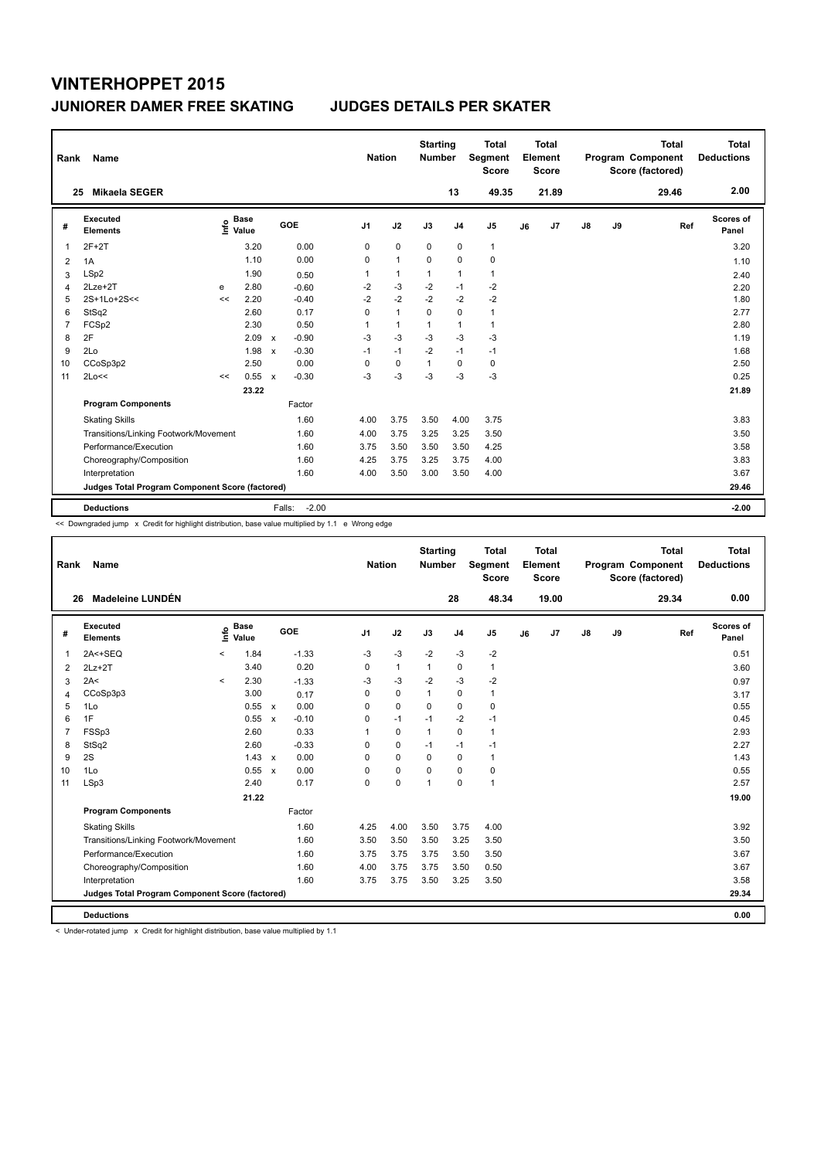| Rank           | Name                                            |      |                      |              |                   | <b>Nation</b>  |              | <b>Starting</b><br><b>Number</b> |                | <b>Total</b><br>Segment<br><b>Score</b> |    | <b>Total</b><br>Element<br><b>Score</b> |    |    | <b>Total</b><br>Program Component<br>Score (factored) | <b>Total</b><br><b>Deductions</b> |
|----------------|-------------------------------------------------|------|----------------------|--------------|-------------------|----------------|--------------|----------------------------------|----------------|-----------------------------------------|----|-----------------------------------------|----|----|-------------------------------------------------------|-----------------------------------|
| 25             | Mikaela SEGER                                   |      |                      |              |                   |                |              |                                  | 13             | 49.35                                   |    | 21.89                                   |    |    | 29.46                                                 | 2.00                              |
| #              | Executed<br><b>Elements</b>                     | ١nf٥ | <b>Base</b><br>Value |              | GOE               | J <sub>1</sub> | J2           | J3                               | J <sub>4</sub> | J <sub>5</sub>                          | J6 | J <sub>7</sub>                          | J8 | J9 | Ref                                                   | Scores of<br>Panel                |
| 1              | $2F+2T$                                         |      | 3.20                 |              | 0.00              | 0              | $\mathbf 0$  | $\mathbf 0$                      | $\mathbf 0$    | $\mathbf{1}$                            |    |                                         |    |    |                                                       | 3.20                              |
| 2              | 1A                                              |      | 1.10                 |              | 0.00              | $\Omega$       | $\mathbf{1}$ | $\Omega$                         | $\mathbf 0$    | 0                                       |    |                                         |    |    |                                                       | 1.10                              |
| 3              | LSp2                                            |      | 1.90                 |              | 0.50              | 1              | $\mathbf{1}$ | $\mathbf{1}$                     | $\mathbf{1}$   | $\mathbf{1}$                            |    |                                         |    |    |                                                       | 2.40                              |
| 4              | $2Lze+2T$                                       | e    | 2.80                 |              | $-0.60$           | $-2$           | $-3$         | $-2$                             | $-1$           | $-2$                                    |    |                                         |    |    |                                                       | 2.20                              |
| 5              | 2S+1Lo+2S<<                                     | <<   | 2.20                 |              | $-0.40$           | $-2$           | $-2$         | $-2$                             | $-2$           | $-2$                                    |    |                                         |    |    |                                                       | 1.80                              |
| 6              | StSq2                                           |      | 2.60                 |              | 0.17              | 0              | $\mathbf{1}$ | $\mathbf 0$                      | 0              | $\mathbf{1}$                            |    |                                         |    |    |                                                       | 2.77                              |
| $\overline{7}$ | FCSp2                                           |      | 2.30                 |              | 0.50              | 1              | $\mathbf{1}$ | $\mathbf{1}$                     | $\mathbf{1}$   | $\mathbf{1}$                            |    |                                         |    |    |                                                       | 2.80                              |
| 8              | 2F                                              |      | 2.09                 | $\mathsf{x}$ | $-0.90$           | $-3$           | $-3$         | $-3$                             | $-3$           | $-3$                                    |    |                                         |    |    |                                                       | 1.19                              |
| 9              | 2Lo                                             |      | 1.98                 | $\mathsf{x}$ | $-0.30$           | $-1$           | $-1$         | $-2$                             | $-1$           | $-1$                                    |    |                                         |    |    |                                                       | 1.68                              |
| 10             | CCoSp3p2                                        |      | 2.50                 |              | 0.00              | $\Omega$       | $\mathbf 0$  | $\mathbf{1}$                     | 0              | 0                                       |    |                                         |    |    |                                                       | 2.50                              |
| 11             | 2Lo<<                                           | <<   | 0.55                 | $\mathsf{x}$ | $-0.30$           | $-3$           | $-3$         | $-3$                             | $-3$           | $-3$                                    |    |                                         |    |    |                                                       | 0.25                              |
|                |                                                 |      | 23.22                |              |                   |                |              |                                  |                |                                         |    |                                         |    |    |                                                       | 21.89                             |
|                | <b>Program Components</b>                       |      |                      |              | Factor            |                |              |                                  |                |                                         |    |                                         |    |    |                                                       |                                   |
|                | <b>Skating Skills</b>                           |      |                      |              | 1.60              | 4.00           | 3.75         | 3.50                             | 4.00           | 3.75                                    |    |                                         |    |    |                                                       | 3.83                              |
|                | Transitions/Linking Footwork/Movement           |      |                      |              | 1.60              | 4.00           | 3.75         | 3.25                             | 3.25           | 3.50                                    |    |                                         |    |    |                                                       | 3.50                              |
|                | Performance/Execution                           |      |                      |              | 1.60              | 3.75           | 3.50         | 3.50                             | 3.50           | 4.25                                    |    |                                         |    |    |                                                       | 3.58                              |
|                | Choreography/Composition                        |      |                      |              | 1.60              | 4.25           | 3.75         | 3.25                             | 3.75           | 4.00                                    |    |                                         |    |    |                                                       | 3.83                              |
|                | Interpretation                                  |      |                      |              | 1.60              | 4.00           | 3.50         | 3.00                             | 3.50           | 4.00                                    |    |                                         |    |    |                                                       | 3.67                              |
|                | Judges Total Program Component Score (factored) |      |                      |              |                   |                |              |                                  |                |                                         |    |                                         |    |    |                                                       | 29.46                             |
|                | <b>Deductions</b>                               |      |                      |              | $-2.00$<br>Falls: |                |              |                                  |                |                                         |    |                                         |    |    |                                                       | $-2.00$                           |

<< Downgraded jump x Credit for highlight distribution, base value multiplied by 1.1 e Wrong edge

| Rank           | Name                                            |          |                      |              |            | <b>Nation</b> |              | <b>Starting</b><br><b>Number</b> |                | <b>Total</b><br>Segment<br><b>Score</b> |    | Total<br>Element<br><b>Score</b> |               |    | <b>Total</b><br>Program Component<br>Score (factored) | <b>Total</b><br><b>Deductions</b> |
|----------------|-------------------------------------------------|----------|----------------------|--------------|------------|---------------|--------------|----------------------------------|----------------|-----------------------------------------|----|----------------------------------|---------------|----|-------------------------------------------------------|-----------------------------------|
|                | Madeleine LUNDÉN<br>26                          |          |                      |              |            |               |              |                                  | 28             | 48.34                                   |    | 19.00                            |               |    | 29.34                                                 | 0.00                              |
| #              | Executed<br><b>Elements</b>                     | Info     | <b>Base</b><br>Value |              | <b>GOE</b> | J1            | J2           | J3                               | J <sub>4</sub> | J <sub>5</sub>                          | J6 | J <sub>7</sub>                   | $\mathsf{J}8$ | J9 | Ref                                                   | <b>Scores of</b><br>Panel         |
| $\mathbf 1$    | $2A < +SEQ$                                     | $\hat{}$ | 1.84                 |              | $-1.33$    | $-3$          | $-3$         | $-2$                             | $-3$           | $-2$                                    |    |                                  |               |    |                                                       | 0.51                              |
| 2              | $2Lz+2T$                                        |          | 3.40                 |              | 0.20       | 0             | $\mathbf{1}$ | 1                                | 0              | $\mathbf{1}$                            |    |                                  |               |    |                                                       | 3.60                              |
| 3              | 2A<                                             | $\prec$  | 2.30                 |              | $-1.33$    | $-3$          | $-3$         | $-2$                             | $-3$           | $-2$                                    |    |                                  |               |    |                                                       | 0.97                              |
| 4              | CCoSp3p3                                        |          | 3.00                 |              | 0.17       | 0             | $\mathbf 0$  | 1                                | 0              | 1                                       |    |                                  |               |    |                                                       | 3.17                              |
| 5              | 1Lo                                             |          | 0.55 x               |              | 0.00       | $\Omega$      | $\mathbf 0$  | $\mathbf 0$                      | 0              | 0                                       |    |                                  |               |    |                                                       | 0.55                              |
| 6              | 1F                                              |          | 0.55                 | $\mathbf{x}$ | $-0.10$    | $\Omega$      | $-1$         | $-1$                             | $-2$           | $-1$                                    |    |                                  |               |    |                                                       | 0.45                              |
| $\overline{7}$ | FSSp3                                           |          | 2.60                 |              | 0.33       | 1             | $\mathbf 0$  | $\mathbf{1}$                     | 0              | 1                                       |    |                                  |               |    |                                                       | 2.93                              |
| 8              | StSq2                                           |          | 2.60                 |              | $-0.33$    | $\Omega$      | 0            | $-1$                             | $-1$           | $-1$                                    |    |                                  |               |    |                                                       | 2.27                              |
| 9              | 2S                                              |          | 1.43                 | $\mathsf{x}$ | 0.00       | $\Omega$      | $\mathbf 0$  | $\Omega$                         | $\mathbf 0$    | 1                                       |    |                                  |               |    |                                                       | 1.43                              |
| 10             | 1Lo                                             |          | 0.55 x               |              | 0.00       | $\Omega$      | $\mathbf 0$  | $\Omega$                         | $\Omega$       | 0                                       |    |                                  |               |    |                                                       | 0.55                              |
| 11             | LSp3                                            |          | 2.40                 |              | 0.17       | 0             | $\pmb{0}$    | $\overline{1}$                   | 0              | 1                                       |    |                                  |               |    |                                                       | 2.57                              |
|                |                                                 |          | 21.22                |              |            |               |              |                                  |                |                                         |    |                                  |               |    |                                                       | 19.00                             |
|                | <b>Program Components</b>                       |          |                      |              | Factor     |               |              |                                  |                |                                         |    |                                  |               |    |                                                       |                                   |
|                | <b>Skating Skills</b>                           |          |                      |              | 1.60       | 4.25          | 4.00         | 3.50                             | 3.75           | 4.00                                    |    |                                  |               |    |                                                       | 3.92                              |
|                | Transitions/Linking Footwork/Movement           |          |                      |              | 1.60       | 3.50          | 3.50         | 3.50                             | 3.25           | 3.50                                    |    |                                  |               |    |                                                       | 3.50                              |
|                | Performance/Execution                           |          |                      |              | 1.60       | 3.75          | 3.75         | 3.75                             | 3.50           | 3.50                                    |    |                                  |               |    |                                                       | 3.67                              |
|                | Choreography/Composition                        |          |                      |              | 1.60       | 4.00          | 3.75         | 3.75                             | 3.50           | 0.50                                    |    |                                  |               |    |                                                       | 3.67                              |
|                | Interpretation                                  |          |                      |              | 1.60       | 3.75          | 3.75         | 3.50                             | 3.25           | 3.50                                    |    |                                  |               |    |                                                       | 3.58                              |
|                | Judges Total Program Component Score (factored) |          |                      |              |            |               |              |                                  |                |                                         |    |                                  |               |    |                                                       | 29.34                             |
|                | <b>Deductions</b>                               |          |                      |              |            |               |              |                                  |                |                                         |    |                                  |               |    |                                                       | 0.00                              |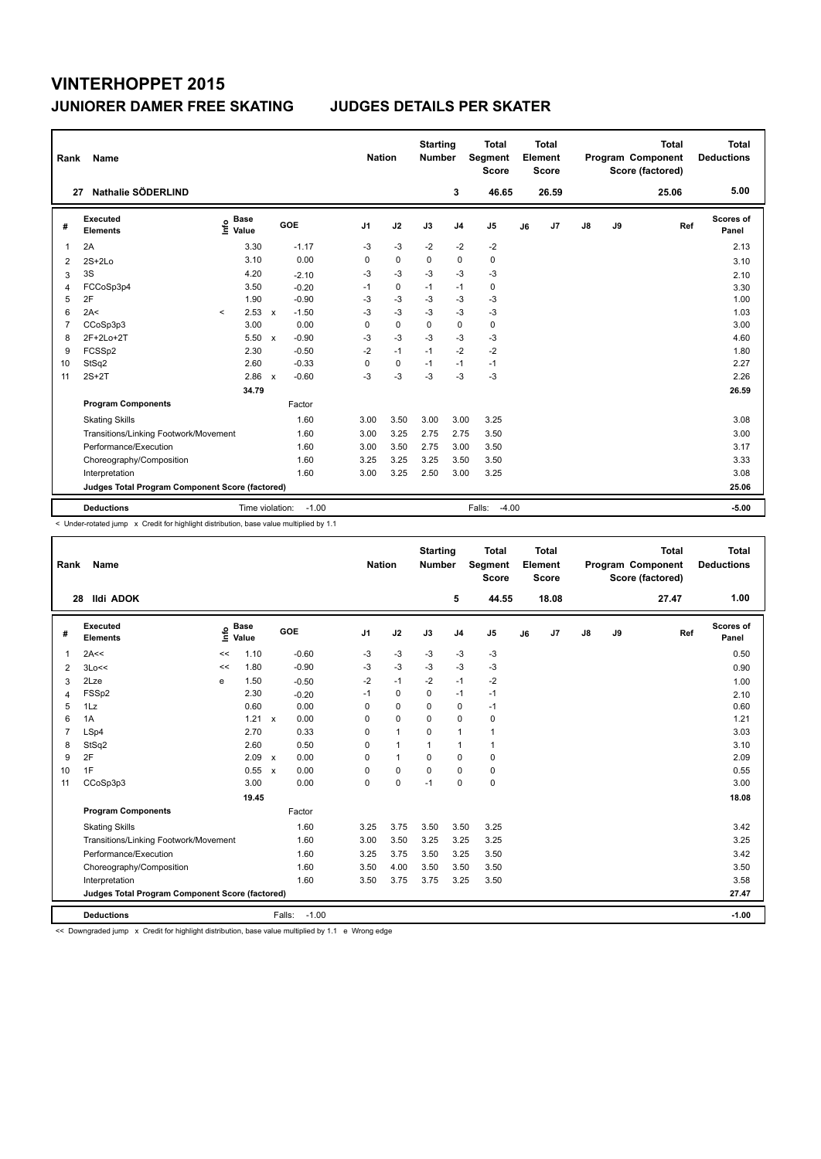| Rank           | Name                                            |                            |        |                                      |                | <b>Nation</b> | <b>Starting</b><br><b>Number</b> |                | <b>Total</b><br>Segment<br><b>Score</b> |    | <b>Total</b><br>Element<br><b>Score</b> |    |    | <b>Total</b><br>Program Component<br>Score (factored) | Total<br><b>Deductions</b> |
|----------------|-------------------------------------------------|----------------------------|--------|--------------------------------------|----------------|---------------|----------------------------------|----------------|-----------------------------------------|----|-----------------------------------------|----|----|-------------------------------------------------------|----------------------------|
| 27             | Nathalie SÖDERLIND                              |                            |        |                                      |                |               |                                  | 3              | 46.65                                   |    | 26.59                                   |    |    | 25.06                                                 | 5.00                       |
| #              | Executed<br><b>Elements</b>                     | <b>Base</b><br>۴ê<br>Value |        | GOE                                  | J <sub>1</sub> | J2            | J3                               | J <sub>4</sub> | J <sub>5</sub>                          | J6 | J7                                      | J8 | J9 | Ref                                                   | Scores of<br>Panel         |
| 1              | 2A                                              |                            | 3.30   | $-1.17$                              | $-3$           | $-3$          | $-2$                             | $-2$           | $-2$                                    |    |                                         |    |    |                                                       | 2.13                       |
| 2              | $2S+2Lo$                                        |                            | 3.10   | 0.00                                 | 0              | $\mathbf 0$   | 0                                | $\mathbf 0$    | 0                                       |    |                                         |    |    |                                                       | 3.10                       |
| 3              | 3S                                              |                            | 4.20   | $-2.10$                              | $-3$           | $-3$          | $-3$                             | $-3$           | $-3$                                    |    |                                         |    |    |                                                       | 2.10                       |
| 4              | FCCoSp3p4                                       |                            | 3.50   | $-0.20$                              | $-1$           | 0             | $-1$                             | $-1$           | 0                                       |    |                                         |    |    |                                                       | 3.30                       |
| 5              | 2F                                              |                            | 1.90   | $-0.90$                              | -3             | $-3$          | -3                               | $-3$           | -3                                      |    |                                         |    |    |                                                       | 1.00                       |
| 6              | 2A<                                             | $\prec$                    | 2.53   | $-1.50$<br>$\mathsf{x}$              | $-3$           | $-3$          | $-3$                             | $-3$           | $-3$                                    |    |                                         |    |    |                                                       | 1.03                       |
| $\overline{7}$ | CCoSp3p3                                        |                            | 3.00   | 0.00                                 | 0              | $\mathbf 0$   | $\Omega$                         | $\mathbf 0$    | $\mathbf 0$                             |    |                                         |    |    |                                                       | 3.00                       |
| 8              | 2F+2Lo+2T                                       |                            | 5.50   | $-0.90$<br>$\boldsymbol{\mathsf{x}}$ | $-3$           | $-3$          | $-3$                             | $-3$           | $-3$                                    |    |                                         |    |    |                                                       | 4.60                       |
| 9              | FCSSp2                                          |                            | 2.30   | $-0.50$                              | $-2$           | $-1$          | $-1$                             | $-2$           | $-2$                                    |    |                                         |    |    |                                                       | 1.80                       |
| 10             | StSq2                                           |                            | 2.60   | $-0.33$                              | 0              | $\mathbf 0$   | $-1$                             | $-1$           | $-1$                                    |    |                                         |    |    |                                                       | 2.27                       |
| 11             | $2S+2T$                                         |                            | 2.86 x | $-0.60$                              | $-3$           | $-3$          | $-3$                             | $-3$           | $-3$                                    |    |                                         |    |    |                                                       | 2.26                       |
|                |                                                 |                            | 34.79  |                                      |                |               |                                  |                |                                         |    |                                         |    |    |                                                       | 26.59                      |
|                | <b>Program Components</b>                       |                            |        | Factor                               |                |               |                                  |                |                                         |    |                                         |    |    |                                                       |                            |
|                | <b>Skating Skills</b>                           |                            |        | 1.60                                 | 3.00           | 3.50          | 3.00                             | 3.00           | 3.25                                    |    |                                         |    |    |                                                       | 3.08                       |
|                | Transitions/Linking Footwork/Movement           |                            |        | 1.60                                 | 3.00           | 3.25          | 2.75                             | 2.75           | 3.50                                    |    |                                         |    |    |                                                       | 3.00                       |
|                | Performance/Execution                           |                            |        | 1.60                                 | 3.00           | 3.50          | 2.75                             | 3.00           | 3.50                                    |    |                                         |    |    |                                                       | 3.17                       |
|                | Choreography/Composition                        |                            |        | 1.60                                 | 3.25           | 3.25          | 3.25                             | 3.50           | 3.50                                    |    |                                         |    |    |                                                       | 3.33                       |
|                | Interpretation                                  |                            |        | 1.60                                 | 3.00           | 3.25          | 2.50                             | 3.00           | 3.25                                    |    |                                         |    |    |                                                       | 3.08                       |
|                | Judges Total Program Component Score (factored) |                            |        |                                      |                |               |                                  |                |                                         |    |                                         |    |    |                                                       | 25.06                      |
|                | <b>Deductions</b>                               |                            |        | Time violation:<br>$-1.00$           |                |               |                                  |                | Falls:<br>$-4.00$                       |    |                                         |    |    |                                                       | $-5.00$                    |

< Under-rotated jump x Credit for highlight distribution, base value multiplied by 1.1

| <b>Name</b><br>Rank |                                                 |      |                      |                           |                   | <b>Nation</b>  |              |              | <b>Starting</b><br><b>Number</b> | <b>Total</b><br>Segment<br><b>Score</b> |    | <b>Total</b><br>Element<br><b>Score</b> |               |    | <b>Total</b><br>Program Component<br>Score (factored) | Total<br><b>Deductions</b> |
|---------------------|-------------------------------------------------|------|----------------------|---------------------------|-------------------|----------------|--------------|--------------|----------------------------------|-----------------------------------------|----|-----------------------------------------|---------------|----|-------------------------------------------------------|----------------------------|
| 28                  | <b>Ildi ADOK</b>                                |      |                      |                           |                   |                |              |              | 5                                | 44.55                                   |    | 18.08                                   |               |    | 27.47                                                 | 1.00                       |
| #                   | Executed<br><b>Elements</b>                     | ١nfo | <b>Base</b><br>Value |                           | GOE               | J <sub>1</sub> | J2           | J3           | J <sub>4</sub>                   | J <sub>5</sub>                          | J6 | J7                                      | $\mathsf{J}8$ | J9 | Ref                                                   | Scores of<br>Panel         |
| $\overline{1}$      | 2A<<                                            | <<   | 1.10                 |                           | $-0.60$           | $-3$           | $-3$         | $-3$         | $-3$                             | $-3$                                    |    |                                         |               |    |                                                       | 0.50                       |
| 2                   | 3Lo<<                                           | <<   | 1.80                 |                           | $-0.90$           | $-3$           | $-3$         | $-3$         | $-3$                             | $-3$                                    |    |                                         |               |    |                                                       | 0.90                       |
| 3                   | 2Lze                                            | е    | 1.50                 |                           | $-0.50$           | $-2$           | $-1$         | $-2$         | $-1$                             | $-2$                                    |    |                                         |               |    |                                                       | 1.00                       |
| 4                   | FSSp2                                           |      | 2.30                 |                           | $-0.20$           | $-1$           | $\mathbf 0$  | $\Omega$     | $-1$                             | $-1$                                    |    |                                         |               |    |                                                       | 2.10                       |
| 5                   | 1Lz                                             |      | 0.60                 |                           | 0.00              | $\Omega$       | $\mathbf 0$  | $\Omega$     | $\mathbf 0$                      | $-1$                                    |    |                                         |               |    |                                                       | 0.60                       |
| 6                   | 1A                                              |      | 1.21 x               |                           | 0.00              | 0              | $\mathbf 0$  | $\Omega$     | $\mathbf 0$                      | 0                                       |    |                                         |               |    |                                                       | 1.21                       |
| $\overline{7}$      | LSp4                                            |      | 2.70                 |                           | 0.33              | $\Omega$       | $\mathbf{1}$ | $\Omega$     | $\mathbf{1}$                     | 1                                       |    |                                         |               |    |                                                       | 3.03                       |
| 8                   | StSq2                                           |      | 2.60                 |                           | 0.50              | $\Omega$       | $\mathbf{1}$ | $\mathbf{1}$ | $\mathbf{1}$                     | 1                                       |    |                                         |               |    |                                                       | 3.10                       |
| 9                   | 2F                                              |      | 2.09                 | $\mathsf{x}$              | 0.00              | $\Omega$       | $\mathbf{1}$ | $\Omega$     | $\mathbf 0$                      | $\mathbf 0$                             |    |                                         |               |    |                                                       | 2.09                       |
| 10                  | 1F                                              |      | 0.55                 | $\boldsymbol{\mathsf{x}}$ | 0.00              | $\Omega$       | 0            | $\Omega$     | 0                                | 0                                       |    |                                         |               |    |                                                       | 0.55                       |
| 11                  | CCoSp3p3                                        |      | 3.00                 |                           | 0.00              | 0              | $\mathbf 0$  | $-1$         | $\mathbf 0$                      | 0                                       |    |                                         |               |    |                                                       | 3.00                       |
|                     |                                                 |      | 19.45                |                           |                   |                |              |              |                                  |                                         |    |                                         |               |    |                                                       | 18.08                      |
|                     | <b>Program Components</b>                       |      |                      |                           | Factor            |                |              |              |                                  |                                         |    |                                         |               |    |                                                       |                            |
|                     | <b>Skating Skills</b>                           |      |                      |                           | 1.60              | 3.25           | 3.75         | 3.50         | 3.50                             | 3.25                                    |    |                                         |               |    |                                                       | 3.42                       |
|                     | Transitions/Linking Footwork/Movement           |      |                      |                           | 1.60              | 3.00           | 3.50         | 3.25         | 3.25                             | 3.25                                    |    |                                         |               |    |                                                       | 3.25                       |
|                     | Performance/Execution                           |      |                      |                           | 1.60              | 3.25           | 3.75         | 3.50         | 3.25                             | 3.50                                    |    |                                         |               |    |                                                       | 3.42                       |
|                     | Choreography/Composition                        |      |                      |                           | 1.60              | 3.50           | 4.00         | 3.50         | 3.50                             | 3.50                                    |    |                                         |               |    |                                                       | 3.50                       |
|                     | Interpretation                                  |      |                      |                           | 1.60              | 3.50           | 3.75         | 3.75         | 3.25                             | 3.50                                    |    |                                         |               |    |                                                       | 3.58                       |
|                     | Judges Total Program Component Score (factored) |      |                      |                           |                   |                |              |              |                                  |                                         |    |                                         |               |    |                                                       | 27.47                      |
|                     | <b>Deductions</b>                               |      |                      |                           | $-1.00$<br>Falls: |                |              |              |                                  |                                         |    |                                         |               |    |                                                       | $-1.00$                    |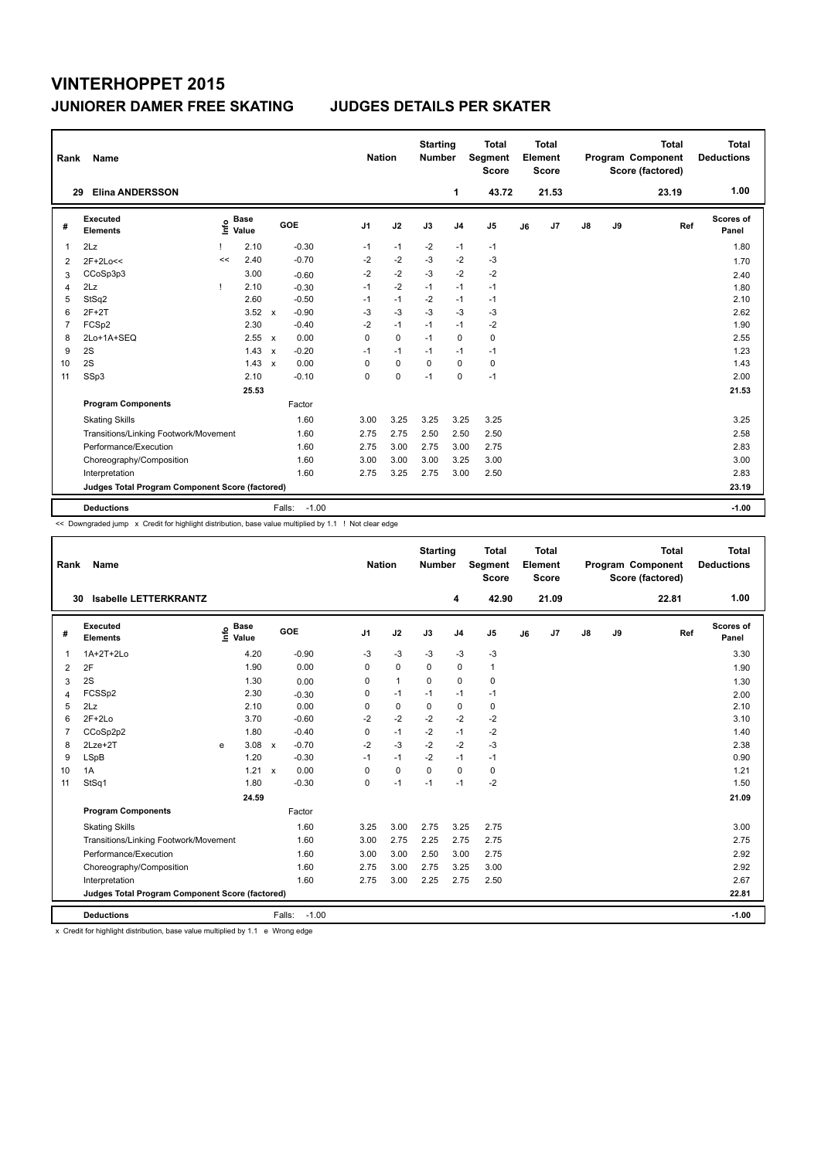|                | Rank<br>Name                                    |              |                      |                           |                   |                | <b>Nation</b> |          |                | <b>Total</b><br>Segment<br><b>Score</b> | <b>Total</b><br>Element<br><b>Score</b> |                |               |    | <b>Total</b><br>Program Component<br>Score (factored) | <b>Total</b><br><b>Deductions</b> |
|----------------|-------------------------------------------------|--------------|----------------------|---------------------------|-------------------|----------------|---------------|----------|----------------|-----------------------------------------|-----------------------------------------|----------------|---------------|----|-------------------------------------------------------|-----------------------------------|
|                | <b>Elina ANDERSSON</b><br>29                    |              |                      |                           |                   |                |               |          | 1              | 43.72                                   |                                         | 21.53          |               |    | 23.19                                                 | 1.00                              |
| #              | Executed<br><b>Elements</b>                     | ١nf٥         | <b>Base</b><br>Value |                           | GOE               | J <sub>1</sub> | J2            | J3       | J <sub>4</sub> | J <sub>5</sub>                          | J6                                      | J <sub>7</sub> | $\mathsf{J}8$ | J9 | Ref                                                   | Scores of<br>Panel                |
| 1              | 2Lz                                             |              | 2.10                 |                           | $-0.30$           | $-1$           | $-1$          | $-2$     | $-1$           | $-1$                                    |                                         |                |               |    |                                                       | 1.80                              |
| 2              | $2F+2Lo<<$                                      | <<           | 2.40                 |                           | $-0.70$           | $-2$           | $-2$          | $-3$     | $-2$           | $-3$                                    |                                         |                |               |    |                                                       | 1.70                              |
| 3              | CCoSp3p3                                        |              | 3.00                 |                           | $-0.60$           | $-2$           | $-2$          | $-3$     | $-2$           | $-2$                                    |                                         |                |               |    |                                                       | 2.40                              |
| 4              | 2Lz                                             | $\mathbf{I}$ | 2.10                 |                           | $-0.30$           | $-1$           | $-2$          | $-1$     | $-1$           | $-1$                                    |                                         |                |               |    |                                                       | 1.80                              |
| 5              | StSq2                                           |              | 2.60                 |                           | $-0.50$           | $-1$           | $-1$          | $-2$     | $-1$           | $-1$                                    |                                         |                |               |    |                                                       | 2.10                              |
| 6              | $2F+2T$                                         |              | 3.52                 | $\mathsf{x}$              | $-0.90$           | $-3$           | $-3$          | $-3$     | $-3$           | $-3$                                    |                                         |                |               |    |                                                       | 2.62                              |
| $\overline{7}$ | FCSp2                                           |              | 2.30                 |                           | $-0.40$           | $-2$           | $-1$          | $-1$     | $-1$           | $-2$                                    |                                         |                |               |    |                                                       | 1.90                              |
| 8              | 2Lo+1A+SEQ                                      |              | 2.55                 | $\mathsf{x}$              | 0.00              | 0              | $\mathbf 0$   | $-1$     | 0              | 0                                       |                                         |                |               |    |                                                       | 2.55                              |
| 9              | 2S                                              |              | 1.43                 | $\boldsymbol{\mathsf{x}}$ | $-0.20$           | $-1$           | $-1$          | $-1$     | $-1$           | $-1$                                    |                                         |                |               |    |                                                       | 1.23                              |
| 10             | 2S                                              |              | 1.43                 | $\mathbf{x}$              | 0.00              | 0              | $\mathbf 0$   | $\Omega$ | $\Omega$       | 0                                       |                                         |                |               |    |                                                       | 1.43                              |
| 11             | SSp3                                            |              | 2.10                 |                           | $-0.10$           | 0              | 0             | $-1$     | $\mathbf 0$    | $-1$                                    |                                         |                |               |    |                                                       | 2.00                              |
|                |                                                 |              | 25.53                |                           |                   |                |               |          |                |                                         |                                         |                |               |    |                                                       | 21.53                             |
|                | <b>Program Components</b>                       |              |                      |                           | Factor            |                |               |          |                |                                         |                                         |                |               |    |                                                       |                                   |
|                | <b>Skating Skills</b>                           |              |                      |                           | 1.60              | 3.00           | 3.25          | 3.25     | 3.25           | 3.25                                    |                                         |                |               |    |                                                       | 3.25                              |
|                | Transitions/Linking Footwork/Movement           |              |                      |                           | 1.60              | 2.75           | 2.75          | 2.50     | 2.50           | 2.50                                    |                                         |                |               |    |                                                       | 2.58                              |
|                | Performance/Execution                           |              |                      |                           | 1.60              | 2.75           | 3.00          | 2.75     | 3.00           | 2.75                                    |                                         |                |               |    |                                                       | 2.83                              |
|                | Choreography/Composition                        |              |                      |                           | 1.60              | 3.00           | 3.00          | 3.00     | 3.25           | 3.00                                    |                                         |                |               |    |                                                       | 3.00                              |
|                | Interpretation                                  |              |                      |                           | 1.60              | 2.75           | 3.25          | 2.75     | 3.00           | 2.50                                    |                                         |                |               |    |                                                       | 2.83                              |
|                | Judges Total Program Component Score (factored) |              |                      |                           |                   |                |               |          |                |                                         |                                         |                |               |    |                                                       | 23.19                             |
|                | <b>Deductions</b>                               |              |                      |                           | $-1.00$<br>Falls: |                |               |          |                |                                         |                                         |                |               |    |                                                       | $-1.00$                           |

<< Downgraded jump x Credit for highlight distribution, base value multiplied by 1.1 ! Not clear edge

| Rank           | Name                                            |   |                                  |              |         | <b>Nation</b>  |              | <b>Starting</b><br><b>Number</b> |                | <b>Total</b><br>Segment<br><b>Score</b> |    | Total<br>Element<br><b>Score</b> |               |    | <b>Total</b><br>Program Component<br>Score (factored) |     | <b>Total</b><br><b>Deductions</b> |
|----------------|-------------------------------------------------|---|----------------------------------|--------------|---------|----------------|--------------|----------------------------------|----------------|-----------------------------------------|----|----------------------------------|---------------|----|-------------------------------------------------------|-----|-----------------------------------|
|                | <b>Isabelle LETTERKRANTZ</b><br>30              |   |                                  |              |         |                |              |                                  | 4              | 42.90                                   |    | 21.09                            |               |    | 22.81                                                 |     | 1.00                              |
| #              | Executed<br><b>Elements</b>                     |   | <b>Base</b><br>e Base<br>⊆ Value |              | GOE     | J <sub>1</sub> | J2           | J3                               | J <sub>4</sub> | J5                                      | J6 | J7                               | $\mathsf{J}8$ | J9 |                                                       | Ref | Scores of<br>Panel                |
| 1              | 1A+2T+2Lo                                       |   | 4.20                             |              | $-0.90$ | $-3$           | $-3$         | $-3$                             | $-3$           | $-3$                                    |    |                                  |               |    |                                                       |     | 3.30                              |
| 2              | 2F                                              |   | 1.90                             |              | 0.00    | $\Omega$       | $\mathbf 0$  | $\Omega$                         | 0              | 1                                       |    |                                  |               |    |                                                       |     | 1.90                              |
| 3              | 2S                                              |   | 1.30                             |              | 0.00    | 0              | $\mathbf{1}$ | $\Omega$                         | 0              | 0                                       |    |                                  |               |    |                                                       |     | 1.30                              |
| 4              | FCSSp2                                          |   | 2.30                             |              | $-0.30$ | 0              | $-1$         | $-1$                             | $-1$           | $-1$                                    |    |                                  |               |    |                                                       |     | 2.00                              |
| 5              | 2Lz                                             |   | 2.10                             |              | 0.00    | 0              | $\mathbf 0$  | $\mathbf 0$                      | 0              | 0                                       |    |                                  |               |    |                                                       |     | 2.10                              |
| 6              | $2F+2Lo$                                        |   | 3.70                             |              | $-0.60$ | $-2$           | $-2$         | $-2$                             | $-2$           | $-2$                                    |    |                                  |               |    |                                                       |     | 3.10                              |
| $\overline{7}$ | CCoSp2p2                                        |   | 1.80                             |              | $-0.40$ | 0              | $-1$         | $-2$                             | $-1$           | $-2$                                    |    |                                  |               |    |                                                       |     | 1.40                              |
| 8              | $2Lze+2T$                                       | e | 3.08                             | $\mathsf{x}$ | $-0.70$ | $-2$           | $-3$         | $-2$                             | $-2$           | $-3$                                    |    |                                  |               |    |                                                       |     | 2.38                              |
| 9              | LSpB                                            |   | 1.20                             |              | $-0.30$ | $-1$           | $-1$         | $-2$                             | $-1$           | $-1$                                    |    |                                  |               |    |                                                       |     | 0.90                              |
| 10             | 1A                                              |   | 1.21                             | $\mathbf{x}$ | 0.00    | $\Omega$       | $\Omega$     | $\Omega$                         | $\Omega$       | 0                                       |    |                                  |               |    |                                                       |     | 1.21                              |
| 11             | StSq1                                           |   | 1.80                             |              | $-0.30$ | $\Omega$       | $-1$         | $-1$                             | $-1$           | $-2$                                    |    |                                  |               |    |                                                       |     | 1.50                              |
|                |                                                 |   | 24.59                            |              |         |                |              |                                  |                |                                         |    |                                  |               |    |                                                       |     | 21.09                             |
|                | <b>Program Components</b>                       |   |                                  |              | Factor  |                |              |                                  |                |                                         |    |                                  |               |    |                                                       |     |                                   |
|                | <b>Skating Skills</b>                           |   |                                  |              | 1.60    | 3.25           | 3.00         | 2.75                             | 3.25           | 2.75                                    |    |                                  |               |    |                                                       |     | 3.00                              |
|                | Transitions/Linking Footwork/Movement           |   |                                  |              | 1.60    | 3.00           | 2.75         | 2.25                             | 2.75           | 2.75                                    |    |                                  |               |    |                                                       |     | 2.75                              |
|                | Performance/Execution                           |   |                                  |              | 1.60    | 3.00           | 3.00         | 2.50                             | 3.00           | 2.75                                    |    |                                  |               |    |                                                       |     | 2.92                              |
|                | Choreography/Composition                        |   |                                  |              | 1.60    | 2.75           | 3.00         | 2.75                             | 3.25           | 3.00                                    |    |                                  |               |    |                                                       |     | 2.92                              |
|                | Interpretation                                  |   |                                  |              | 1.60    | 2.75           | 3.00         | 2.25                             | 2.75           | 2.50                                    |    |                                  |               |    |                                                       |     | 2.67                              |
|                | Judges Total Program Component Score (factored) |   |                                  |              |         |                |              |                                  |                |                                         |    |                                  |               |    |                                                       |     | 22.81                             |
|                | <b>Deductions</b>                               |   |                                  | Falls:       | $-1.00$ |                |              |                                  |                |                                         |    |                                  |               |    |                                                       |     | $-1.00$                           |

x Credit for highlight distribution, base value multiplied by 1.1 e Wrong edge